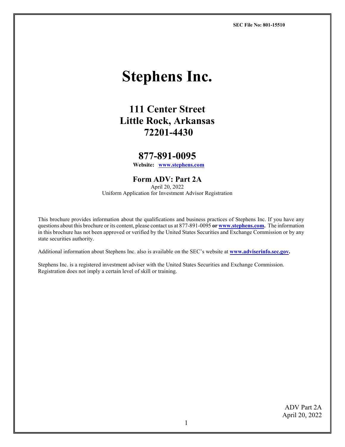**SEC File No: 801-15510**

# **Stephens Inc.**

# **111 Center Street Little Rock, Arkansas 72201-4430**

# **877-[891-0095](http://www.stephens.com/) Website: [www.stephens.com](http://www.stephens.com/)**

# **Form ADV: Part 2A**

April 20, 2022 Uniform Application for Investment Advisor Registration

This brochure provides information about the qualifications and business practices of Stephens Inc. If you have any questions about this brochure or its content, please contact us at 877-891-0095 **o[r www.stephens.com.](http://www.stephens.com/)** The information in this brochure has not been approved or verified by the United States Securities and Exchange Commission or by any state securities authority.

Additional information about Stephens Inc. also is available on the SEC's website at **[www.adviserinfo.sec.gov.](http://www.adviserinfo.sec.gov/)**

Stephens Inc. is a registered investment adviser with the United States Securities and Exchange Commission. Registration does not imply a certain level of skill or training.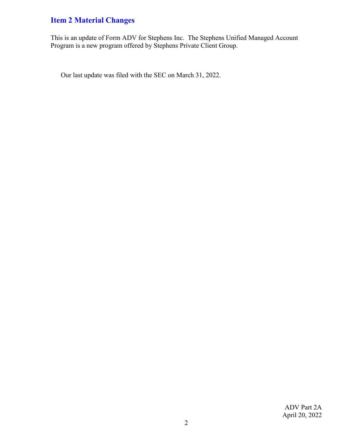# <span id="page-1-0"></span>**Item 2 Material Changes**

This is an update of Form ADV for Stephens Inc. The Stephens Unified Managed Account Program is a new program offered by Stephens Private Client Group.

Our last update was filed with the SEC on March 31, 2022.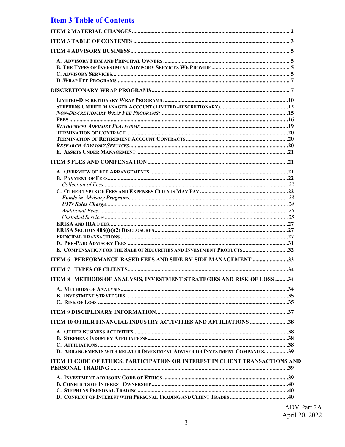# <span id="page-2-0"></span>**Item 3 Table of Contents**

| E. COMPENSATION FOR THE SALE OF SECURITIES AND INVESTMENT PRODUCTS32         |                                       |
|------------------------------------------------------------------------------|---------------------------------------|
|                                                                              |                                       |
| ITEM 6 PERFORMANCE-BASED FEES AND SIDE-BY-SIDE MANAGEMENT 33                 |                                       |
|                                                                              |                                       |
| ITEM 8 METHODS OF ANALYSIS, INVESTMENT STRATEGIES AND RISK OF LOSS 34        |                                       |
|                                                                              |                                       |
|                                                                              |                                       |
|                                                                              |                                       |
|                                                                              |                                       |
| <b>ITEM 10 OTHER FINANCIAL INDUSTRY ACTIVITIES AND AFFILIATIONS 38</b>       |                                       |
|                                                                              |                                       |
|                                                                              |                                       |
| D. ARRANGEMENTS WITH RELATED INVESTMENT ADVISER OR INVESTMENT COMPANIES39    |                                       |
|                                                                              |                                       |
| ITEM 11 CODE OF ETHICS, PARTICIPATION OR INTEREST IN CLIENT TRANSACTIONS AND |                                       |
|                                                                              |                                       |
|                                                                              |                                       |
|                                                                              |                                       |
|                                                                              | $\Lambda$ DV $\overline{\phantom{a}}$ |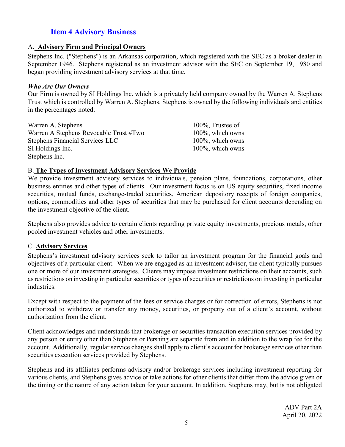# <span id="page-4-0"></span>**Item 4 Advisory Business**

#### <span id="page-4-1"></span>A. **Advisory Firm and Principal Owners**

Stephens Inc. ("Stephens") is an Arkansas corporation, which registered with the SEC as a broker dealer in September 1946. Stephens registered as an investment advisor with the SEC on September 19, 1980 and began providing investment advisory services at that time.

#### *Who Are Our Owners*

Our Firm is owned by SI Holdings Inc. which is a privately held company owned by the Warren A. Stephens Trust which is controlled by Warren A. Stephens. Stephens is owned by the following individuals and entities in the percentages noted:

| Warren A. Stephens                     | $100\%$ , Trustee of |
|----------------------------------------|----------------------|
| Warren A Stephens Revocable Trust #Two | 100%, which owns     |
| <b>Stephens Financial Services LLC</b> | $100\%$ , which owns |
| SI Holdings Inc.                       | $100\%$ , which owns |
| Stephens Inc.                          |                      |

## <span id="page-4-2"></span>B. **The Types of Investment Advisory Services We Provide**

We provide investment advisory services to individuals, pension plans, foundations, corporations, other business entities and other types of clients. Our investment focus is on US equity securities, fixed income securities, mutual funds, exchange-traded securities, American depository receipts of foreign companies, options, commodities and other types of securities that may be purchased for client accounts depending on the investment objective of the client.

Stephens also provides advice to certain clients regarding private equity investments, precious metals, other pooled investment vehicles and other investments.

## <span id="page-4-3"></span>C. **Advisory Services**

Stephens's investment advisory services seek to tailor an investment program for the financial goals and objectives of a particular client. When we are engaged as an investment advisor, the client typically pursues one or more of our investment strategies. Clients may impose investment restrictions on their accounts, such asrestrictions on investing in particular securities or types of securities or restrictions on investing in particular industries.

Except with respect to the payment of the fees or service charges or for correction of errors, Stephens is not authorized to withdraw or transfer any money, securities, or property out of a client's account, without authorization from the client.

Client acknowledges and understands that brokerage or securities transaction execution services provided by any person or entity other than Stephens or Pershing are separate from and in addition to the wrap fee for the account. Additionally, regular service charges shall apply to client's account for brokerage services other than securities execution services provided by Stephens.

Stephens and its affiliates performs advisory and/or brokerage services including investment reporting for various clients, and Stephens gives advice or take actions for other clients that differ from the advice given or the timing or the nature of any action taken for your account. In addition, Stephens may, but is not obligated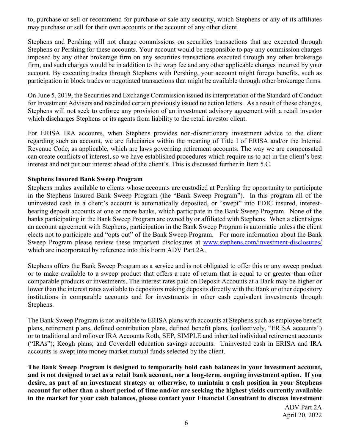to, purchase or sell or recommend for purchase or sale any security, which Stephens or any of its affiliates may purchase or sell for their own accounts or the account of any other client.

Stephens and Pershing will not charge commissions on securities transactions that are executed through Stephens or Pershing for these accounts. Your account would be responsible to pay any commission charges imposed by any other brokerage firm on any securities transactions executed through any other brokerage firm, and such charges would be in addition to the wrap fee and any other applicable charges incurred by your account. By executing trades through Stephens with Pershing, your account might forego benefits, such as participation in block trades or negotiated transactions that might be available through other brokerage firms.

On June 5, 2019, the Securities and Exchange Commission issued its interpretation of the Standard of Conduct for Investment Advisers and rescinded certain previously issued no action letters. As a result of these changes, Stephens will not seek to enforce any provision of an investment advisory agreement with a retail investor which discharges Stephens or its agents from liability to the retail investor client.

For ERISA IRA accounts, when Stephens provides non-discretionary investment advice to the client regarding such an account, we are fiduciaries within the meaning of Title I of ERISA and/or the Internal Revenue Code, as applicable, which are laws governing retirement accounts. The way we are compensated can create conflicts of interest, so we have established procedures which require us to act in the client's best interest and not put our interest ahead of the client's. This is discussed further in Item 5.C.

## **Stephens Insured Bank Sweep Program**

Stephens makes available to clients whose accounts are custodied at Pershing the opportunity to participate in the Stephens Insured Bank Sweep Program (the "Bank Sweep Program"). In this program all of the uninvested cash in a client's account is automatically deposited, or "swept" into FDIC insured, interestbearing deposit accounts at one or more banks, which participate in the Bank Sweep Program. None of the banks participating in the Bank Sweep Program are owned by or affiliated with Stephens. When a client signs an account agreement with Stephens, participation in the Bank Sweep Program is automatic unless the client elects not to participate and "opts out" of the Bank Sweep Program. For more information about the Bank Sweep Program please review these important disclosures at [www.stephens.com/investment-disclosures/](http://www.stephens.com/investment-disclosures/) which are incorporated by reference into this Form ADV Part 2A.

Stephens offers the Bank Sweep Program as a service and is not obligated to offer this or any sweep product or to make available to a sweep product that offers a rate of return that is equal to or greater than other comparable products or investments. The interest rates paid on Deposit Accounts at a Bank may be higher or lower than the interest rates available to depositors making deposits directly with the Bank or other depository institutions in comparable accounts and for investments in other cash equivalent investments through Stephens.

The Bank Sweep Program is not available to ERISA plans with accounts at Stephens such as employee benefit plans, retirement plans, defined contribution plans, defined benefit plans, (collectively, "ERISA accounts") or to traditional and rollover IRA Accounts Roth, SEP, SIMPLE and inherited individual retirement accounts ("IRAs"); Keogh plans; and Coverdell education savings accounts. Uninvested cash in ERISA and IRA accounts is swept into money market mutual funds selected by the client.

**The Bank Sweep Program is designed to temporarily hold cash balances in your investment account, and is not designed to act as a retail bank account, nor a long-term, ongoing investment option. If you desire, as part of an investment strategy or otherwise, to maintain a cash position in your Stephens account for other than a short period of time and/or are seeking the highest yields currently available in the market for your cash balances, please contact your Financial Consultant to discuss investment**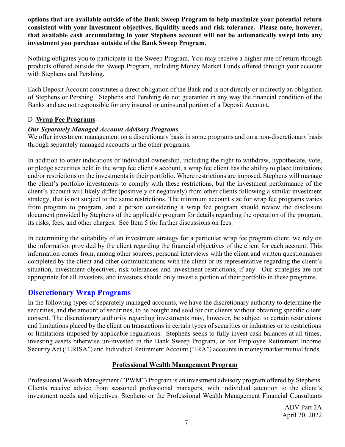**options that are available outside of the Bank Sweep Program to help maximize your potential return consistent with your investment objectives, liquidity needs and risk tolerance. Please note, however, that available cash accumulating in your Stephens account will not be automatically swept into any investment you purchase outside of the Bank Sweep Program.**

Nothing obligates you to participate in the Sweep Program. You may receive a higher rate of return through products offered outside the Sweep Program, including Money Market Funds offered through your account with Stephens and Pershing.

Each Deposit Account constitutes a direct obligation of the Bank and is not directly or indirectly an obligation of Stephens or Pershing. Stephens and Pershing do not guarantee in any way the financial condition of the Banks and are not responsible for any insured or uninsured portion of a Deposit Account.

## <span id="page-6-0"></span>D .**Wrap Fee Programs**

## *Our Separately Managed Account Advisory Programs*

We offer investment management on a discretionary basis in some programs and on a non-discretionary basis through separately managed accounts in the other programs.

In addition to other indications of individual ownership, including the right to withdraw, hypothecate, vote, or pledge securities held in the wrap fee client's account, a wrap fee client has the ability to place limitations and/or restrictions on the investments in their portfolio. Where restrictions are imposed, Stephens will manage the client's portfolio investments to comply with these restrictions, but the investment performance of the client's account will likely differ (positively or negatively) from other clients following a similar investment strategy, that is not subject to the same restrictions. The minimum account size for wrap fee programs varies from program to program, and a person considering a wrap fee program should review the disclosure document provided by Stephens of the applicable program for details regarding the operation of the program, its risks, fees, and other charges. See Item 5 for further discussions on fees.

In determining the suitability of an investment strategy for a particular wrap fee program client, we rely on the information provided by the client regarding the financial objectives of the client for each account. This information comes from, among other sources, personal interviews with the client and written questionnaires completed by the client and other communications with the client or its representative regarding the client's situation, investment objectives, risk tolerances and investment restrictions, if any. Our strategies are not appropriate for all investors, and investors should only invest a portion of their portfolio in these programs.

# <span id="page-6-1"></span>**Discretionary Wrap Programs**

In the following types of separately managed accounts, we have the discretionary authority to determine the securities, and the amount of securities, to be bought and sold for our clients without obtaining specific client consent. The discretionary authority regarding investments may, however, be subject to certain restrictions and limitations placed by the client on transactions in certain types of securities or industries or to restrictions or limitations imposed by applicable regulations. Stephens seeks to fully invest cash balances at all times, investing assets otherwise un-invested in the Bank Sweep Program, or for Employee Retirement Income Security Act ("ERISA") and Individual Retirement Account ("IRA") accounts in money market mutual funds.

# **Professional Wealth Management Program**

Professional Wealth Management ("PWM") Program is an investment advisory program offered by Stephens. Clients receive advice from seasoned professional managers, with individual attention to the client's investment needs and objectives. Stephens or the Professional Wealth Management Financial Consultants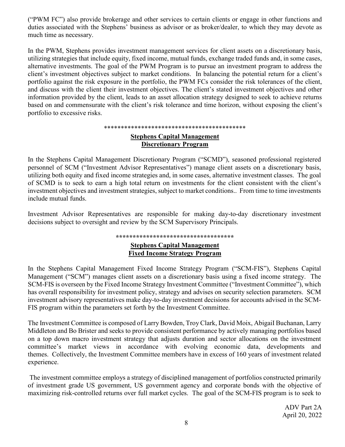("PWM FC") also provide brokerage and other services to certain clients or engage in other functions and duties associated with the Stephens' business as advisor or as broker/dealer, to which they may devote as much time as necessary.

In the PWM, Stephens provides investment management services for client assets on a discretionary basis, utilizing strategies that include equity, fixed income, mutual funds, exchange traded funds and, in some cases, alternative investments. The goal of the PWM Program is to pursue an investment program to address the client's investment objectives subject to market conditions. In balancing the potential return for a client's portfolio against the risk exposure in the portfolio, the PWM FCs consider the risk tolerances of the client, and discuss with the client their investment objectives. The client's stated investment objectives and other information provided by the client, leads to an asset allocation strategy designed to seek to achieve returns based on and commensurate with the client's risk tolerance and time horizon, without exposing the client's portfolio to excessive risks.

#### \*\*\*\*\*\*\*\*\*\*\*\*\*\*\*\*\*\*\*\*\*\*\*\*\*\*\*\*\*\*\*\*\*\*\*\*\*\*\*\*\*\*

#### **Stephens Capital Management Discretionary Program**

In the Stephens Capital Management Discretionary Program ("SCMD"), seasoned professional registered personnel of SCM ("Investment Advisor Representatives") manage client assets on a discretionary basis, utilizing both equity and fixed income strategies and, in some cases, alternative investment classes. The goal of SCMD is to seek to earn a high total return on investments for the client consistent with the client's investment objectives and investment strategies, subject to market conditions.. From time to time investments include mutual funds.

Investment Advisor Representatives are responsible for making day-to-day discretionary investment decisions subject to oversight and review by the SCM Supervisory Principals.

## **\*\*\*\*\*\*\*\*\*\*\*\*\*\*\*\*\*\*\*\*\*\*\*\*\*\*\*\*\*\*\*\*\*\*\***

#### **Stephens Capital Management Fixed Income Strategy Program**

In the Stephens Capital Management Fixed Income Strategy Program ("SCM-FIS"), Stephens Capital Management ("SCM") manages client assets on a discretionary basis using a fixed income strategy. The SCM-FIS is overseen by the Fixed Income Strategy Investment Committee ("Investment Committee"), which has overall responsibility for investment policy, strategy and advises on security selection parameters. SCM investment advisory representatives make day-to-day investment decisions for accounts advised in the SCM-FIS program within the parameters set forth by the Investment Committee.

The Investment Committee is composed of Larry Bowden, Troy Clark, David Moix, AbigaiI Buchanan, Larry Middleton and Bo Brister and seeks to provide consistent performance by actively managing portfolios based on a top down macro investment strategy that adjusts duration and sector allocations on the investment committee's market views in accordance with evolving economic data, developments and themes. Collectively, the Investment Committee members have in excess of 160 years of investment related experience.

The investment committee employs a strategy of disciplined management of portfolios constructed primarily of investment grade US government, US government agency and corporate bonds with the objective of maximizing risk-controlled returns over full market cycles. The goal of the SCM-FIS program is to seek to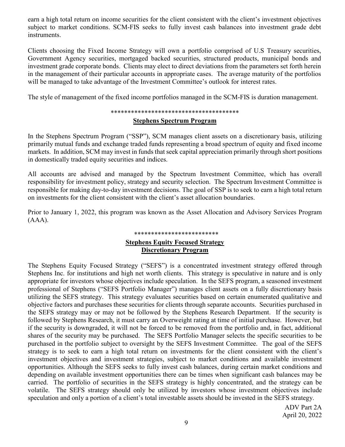earn a high total return on income securities for the client consistent with the client's investment objectives subject to market conditions. SCM-FIS seeks to fully invest cash balances into investment grade debt instruments.

Clients choosing the Fixed Income Strategy will own a portfolio comprised of U.S Treasury securities, Government Agency securities, mortgaged backed securities, structured products, municipal bonds and investment grade corporate bonds. Clients may elect to direct deviations from the parameters set forth herein in the management of their particular accounts in appropriate cases. The average maturity of the portfolios will be managed to take advantage of the Investment Committee's outlook for interest rates.

The style of management of the fixed income portfolios managed in the SCM-FIS is duration management.

#### \*\*\*\*\*\*\*\*\*\*\*\*\*\*\*\*\*\*\*\*\*\*\*\*\*\*\*\*\*\*\*\*\*\*\*\*\*\*

#### **Stephens Spectrum Program**

In the Stephens Spectrum Program ("SSP"), SCM manages client assets on a discretionary basis, utilizing primarily mutual funds and exchange traded funds representing a broad spectrum of equity and fixed income markets. In addition, SCM may invest in funds that seek capital appreciation primarily through short positions in domestically traded equity securities and indices.

All accounts are advised and managed by the Spectrum Investment Committee, which has overall responsibility for investment policy, strategy and security selection. The Spectrum Investment Committee is responsible for making day-to-day investment decisions. The goal of SSP is to seek to earn a high total return on investments for the client consistent with the client's asset allocation boundaries.

Prior to January 1, 2022, this program was known as the Asset Allocation and Advisory Services Program (AAA).

## \*\*\*\*\*\*\*\*\*\*\*\*\*\*\*\*\*\*\*\*\*\*\*\*\* **Stephens Equity Focused Strategy Discretionary Program**

The Stephens Equity Focused Strategy ("SEFS") is a concentrated investment strategy offered through Stephens Inc. for institutions and high net worth clients. This strategy is speculative in nature and is only appropriate for investors whose objectives include speculation. In the SEFS program, a seasoned investment professional of Stephens ("SEFS Portfolio Manager") manages client assets on a fully discretionary basis utilizing the SEFS strategy. This strategy evaluates securities based on certain enumerated qualitative and objective factors and purchases these securities for clients through separate accounts. Securities purchased in the SEFS strategy may or may not be followed by the Stephens Research Department. If the security is followed by Stephens Research, it must carry an Overweight rating at time of initial purchase. However, but if the security is downgraded, it will not be forced to be removed from the portfolio and, in fact, additional shares of the security may be purchased. The SEFS Portfolio Manager selects the specific securities to be purchased in the portfolio subject to oversight by the SEFS Investment Committee. The goal of the SEFS strategy is to seek to earn a high total return on investments for the client consistent with the client's investment objectives and investment strategies, subject to market conditions and available investment opportunities. Although the SEFS seeks to fully invest cash balances, during certain market conditions and depending on available investment opportunities there can be times when significant cash balances may be carried. The portfolio of securities in the SEFS strategy is highly concentrated, and the strategy can be volatile. The SEFS strategy should only be utilized by investors whose investment objectives include speculation and only a portion of a client's total investable assets should be invested in the SEFS strategy.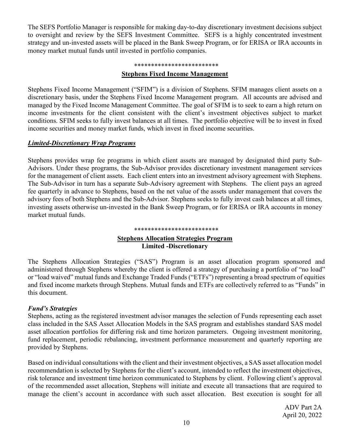The SEFS Portfolio Manager is responsible for making day-to-day discretionary investment decisions subject to oversight and review by the SEFS Investment Committee. SEFS is a highly concentrated investment strategy and un-invested assets will be placed in the Bank Sweep Program, or for ERISA or IRA accounts in money market mutual funds until invested in portfolio companies.

#### \*\*\*\*\*\*\*\*\*\*\*\*\*\*\*\*\*\*\*\*\*\*\*\*\*

#### **Stephens Fixed Income Management**

Stephens Fixed Income Management ("SFIM") is a division of Stephens. SFIM manages client assets on a discretionary basis, under the Stephens Fixed Income Management program. All accounts are advised and managed by the Fixed Income Management Committee. The goal of SFIM is to seek to earn a high return on income investments for the client consistent with the client's investment objectives subject to market conditions. SFIM seeks to fully invest balances at all times. The portfolio objective will be to invest in fixed income securities and money market funds, which invest in fixed income securities.

#### <span id="page-9-0"></span>*Limited-Discretionary Wrap Programs*

Stephens provides wrap fee programs in which client assets are managed by designated third party Sub-Advisors. Under these programs, the Sub-Advisor provides discretionary investment management services for the management of client assets. Each client enters into an investment advisory agreement with Stephens. The Sub-Advisor in turn has a separate Sub-Advisory agreement with Stephens. The client pays an agreed fee quarterly in advance to Stephens, based on the net value of the assets under management that covers the advisory fees of both Stephens and the Sub-Advisor. Stephens seeks to fully invest cash balances at all times, investing assets otherwise un-invested in the Bank Sweep Program, or for ERISA or IRA accounts in money market mutual funds.

#### \*\*\*\*\*\*\*\*\*\*\*\*\*\*\*\*\*\*\*\*\*\*\*\*\*

## **Stephens Allocation Strategies Program Limited -Discretionary**

The Stephens Allocation Strategies ("SAS") Program is an asset allocation program sponsored and administered through Stephens whereby the client is offered a strategy of purchasing a portfolio of "no load" or "load waived" mutual funds and Exchange Traded Funds ("ETFs") representing a broad spectrum of equities and fixed income markets through Stephens. Mutual funds and ETFs are collectively referred to as "Funds" in this document.

#### *Fund's Strategies*

Stephens, acting as the registered investment advisor manages the selection of Funds representing each asset class included in the SAS Asset Allocation Models in the SAS program and establishes standard SAS model asset allocation portfolios for differing risk and time horizon parameters. Ongoing investment monitoring, fund replacement, periodic rebalancing, investment performance measurement and quarterly reporting are provided by Stephens.

Based on individual consultations with the client and their investment objectives, a SAS asset allocation model recommendation is selected by Stephens for the client's account, intended to reflect the investment objectives, risk tolerance and investment time horizon communicated to Stephens by client. Following client's approval of the recommended asset allocation, Stephens will initiate and execute all transactions that are required to manage the client's account in accordance with such asset allocation. Best execution is sought for all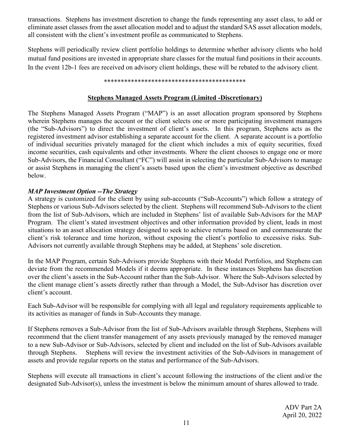transactions. Stephens has investment discretion to change the funds representing any asset class, to add or eliminate asset classes from the asset allocation model and to adjust the standard SAS asset allocation models, all consistent with the client's investment profile as communicated to Stephens.

Stephens will periodically review client portfolio holdings to determine whether advisory clients who hold mutual fund positions are invested in appropriate share classes for the mutual fund positions in their accounts. In the event 12b-1 fees are received on advisory client holdings, these will be rebated to the advisory client.

#### \*\*\*\*\*\*\*\*\*\*\*\*\*\*\*\*\*\*\*\*\*\*\*\*\*\*\*\*\*\*\*\*\*\*\*\*\*\*\*\*\*\*

# **Stephens Managed Assets Program (Limited -Discretionary)**

The Stephens Managed Assets Program ("MAP") is an asset allocation program sponsored by Stephens wherein Stephens manages the account or the client selects one or more participating investment managers (the "Sub-Advisors") to direct the investment of client's assets. In this program, Stephens acts as the registered investment advisor establishing a separate account for the client. A separate account is a portfolio of individual securities privately managed for the client which includes a mix of equity securities, fixed income securities, cash equivalents and other investments. Where the client chooses to engage one or more Sub-Advisors, the Financial Consultant ("FC") will assist in selecting the particular Sub-Advisors to manage or assist Stephens in managing the client's assets based upon the client's investment objective as described below.

# *MAP Investment Option --The Strategy*

A strategy is customized for the client by using sub-accounts ("Sub-Accounts") which follow a strategy of Stephens or various Sub-Advisors selected by the client. Stephens will recommend Sub-Advisors to the client from the list of Sub-Advisors, which are included in Stephens' list of available Sub-Advisors for the MAP Program. The client's stated investment objectives and other information provided by client, leads in most situations to an asset allocation strategy designed to seek to achieve returns based on and commensurate the client's risk tolerance and time horizon, without exposing the client's portfolio to excessive risks. Sub-Advisors not currently available through Stephens may be added, at Stephens' sole discretion.

In the MAP Program, certain Sub-Advisors provide Stephens with their Model Portfolios, and Stephens can deviate from the recommended Models if it deems appropriate. In these instances Stephens has discretion over the client's assets in the Sub-Account rather than the Sub-Advisor. Where the Sub-Advisors selected by the client manage client's assets directly rather than through a Model, the Sub-Advisor has discretion over client's account.

Each Sub-Advisor will be responsible for complying with all legal and regulatory requirements applicable to its activities as manager of funds in Sub-Accounts they manage.

If Stephens removes a Sub-Advisor from the list of Sub-Advisors available through Stephens, Stephens will recommend that the client transfer management of any assets previously managed by the removed manager to a new Sub-Advisor or Sub-Advisors, selected by client and included on the list of Sub-Advisors available through Stephens. Stephens will review the investment activities of the Sub-Advisors in management of assets and provide regular reports on the status and performance of the Sub-Advisors.

Stephens will execute all transactions in client's account following the instructions of the client and/or the designated Sub-Advisor(s), unless the investment is below the minimum amount of shares allowed to trade.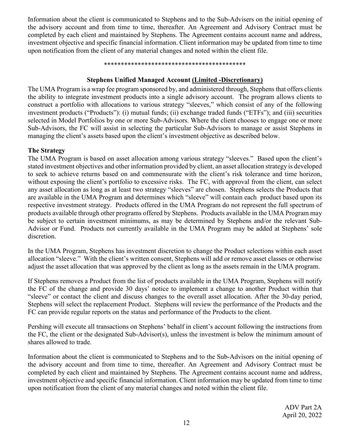Information about the client is communicated to Stephens and to the Sub-Advisers on the initial opening of the advisory account and from time to time, thereafter. An Agreement and Advisory Contract must be completed by each client and maintained by Stephens. The Agreement contains account name and address, investment objective and specific financial information. Client information may be updated from time to time upon notification from the client of any material changes and noted within the client file.

#### \*\*\*\*\*\*\*\*\*\*\*\*\*\*\*\*\*\*\*\*\*\*\*\*\*\*\*\*\*\*\*\*\*\*\*\*\*\*\*\*\*\*

#### **Stephens Unified Managed Account (Limited -Discretionary)**

<span id="page-11-0"></span>The UMA Program is a wrap fee program sponsored by, and administered through, Stephens that offers clients the ability to integrate investment products into a single advisory account. The program allows clients to construct a portfolio with allocations to various strategy "sleeves," which consist of any of the following investment products ("Products"): (i) mutual funds; (ii) exchange traded funds ("ETFs"); and (iii) securities selected in Model Portfolios by one or more Sub-Advisors. Where the client chooses to engage one or more Sub-Advisors, the FC will assist in selecting the particular Sub-Advisors to manage or assist Stephens in managing the client's assets based upon the client's investment objective as described below.

#### **The Strategy**

The UMA Program is based on asset allocation among various strategy "sleeves." Based upon the client's stated investment objectives and other information provided by client, an asset allocation strategy is developed to seek to achieve returns based on and commensurate with the client's risk tolerance and time horizon, without exposing the client's portfolio to excessive risks. The FC, with approval from the client, can select any asset allocation as long as at least two strategy "sleeves" are chosen. Stephens selects the Products that are available in the UMA Program and determines which "sleeve" will contain each product based upon its respective investment strategy. Products offered in the UMA Program do not represent the full spectrum of products available through other programs offered by Stephens. Products available in the UMA Program may be subject to certain investment minimums, as may be determined by Stephens and/or the relevant Sub-Advisor or Fund. Products not currently available in the UMA Program may be added at Stephens' sole discretion.

In the UMA Program, Stephens has investment discretion to change the Product selections within each asset allocation "sleeve." With the client's written consent, Stephens will add or remove asset classes or otherwise adjust the asset allocation that was approved by the client as long as the assets remain in the UMA program.

If Stephens removes a Product from the list of products available in the UMA Program, Stephens will notify the FC of the change and provide 30 days' notice to implement a change to another Product within that "sleeve" or contact the client and discuss changes to the overall asset allocation. After the 30-day period, Stephens will select the replacement Product. Stephens will review the performance of the Products and the FC can provide regular reports on the status and performance of the Products to the client.

Pershing will execute all transactions on Stephens' behalf in client's account following the instructions from the FC, the client or the designated Sub-Advisor(s), unless the investment is below the minimum amount of shares allowed to trade.

Information about the client is communicated to Stephens and to the Sub-Advisors on the initial opening of the advisory account and from time to time, thereafter. An Agreement and Advisory Contract must be completed by each client and maintained by Stephens. The Agreement contains account name and address, investment objective and specific financial information. Client information may be updated from time to time upon notification from the client of any material changes and noted within the client file.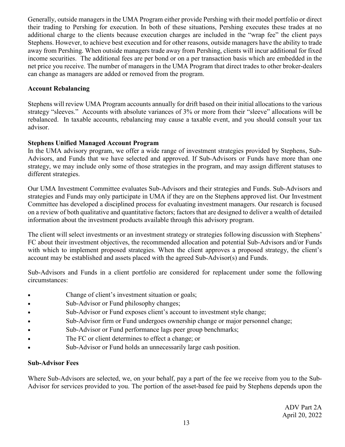Generally, outside managers in the UMA Program either provide Pershing with their model portfolio or direct their trading to Pershing for execution. In both of these situations, Pershing executes these trades at no additional charge to the clients because execution charges are included in the "wrap fee" the client pays Stephens. However, to achieve best execution and for other reasons, outside managers have the ability to trade away from Pershing. When outside managers trade away from Pershing, clients will incur additional for fixed income securities. The additional fees are per bond or on a per transaction basis which are embedded in the net price you receive. The number of managers in the UMA Program that direct trades to other broker-dealers can change as managers are added or removed from the program.

## **Account Rebalancing**

Stephens will review UMA Program accounts annually for drift based on their initial allocations to the various strategy "sleeves." Accounts with absolute variances of 3% or more from their "sleeve" allocations will be rebalanced. In taxable accounts, rebalancing may cause a taxable event, and you should consult your tax advisor.

## **Stephens Unified Managed Account Program**

In the UMA advisory program, we offer a wide range of investment strategies provided by Stephens, Sub-Advisors, and Funds that we have selected and approved. If Sub-Advisors or Funds have more than one strategy, we may include only some of those strategies in the program, and may assign different statuses to different strategies.

Our UMA Investment Committee evaluates Sub-Advisors and their strategies and Funds. Sub-Advisors and strategies and Funds may only participate in UMA if they are on the Stephens approved list. Our Investment Committee has developed a disciplined process for evaluating investment managers. Our research is focused on a review of both qualitative and quantitative factors; factors that are designed to deliver a wealth of detailed information about the investment products available through this advisory program.

The client will select investments or an investment strategy or strategies following discussion with Stephens' FC about their investment objectives, the recommended allocation and potential Sub-Advisors and/or Funds with which to implement proposed strategies. When the client approves a proposed strategy, the client's account may be established and assets placed with the agreed Sub-Advisor(s) and Funds.

Sub-Advisors and Funds in a client portfolio are considered for replacement under some the following circumstances:

- Change of client's investment situation or goals;
- Sub-Advisor or Fund philosophy changes;
- Sub-Advisor or Fund exposes client's account to investment style change;
- Sub-Advisor firm or Fund undergoes ownership change or major personnel change;
- Sub-Advisor or Fund performance lags peer group benchmarks;
- The FC or client determines to effect a change; or
- Sub-Advisor or Fund holds an unnecessarily large cash position.

## **Sub-Advisor Fees**

Where Sub-Advisors are selected, we, on your behalf, pay a part of the fee we receive from you to the Sub-Advisor for services provided to you. The portion of the asset-based fee paid by Stephens depends upon the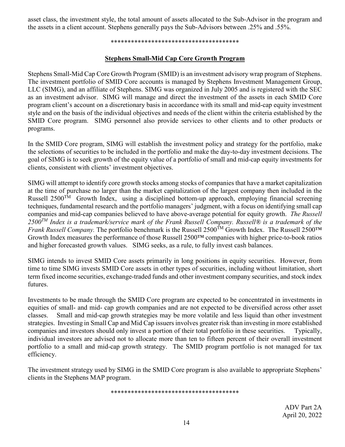asset class, the investment style, the total amount of assets allocated to the Sub-Advisor in the program and the assets in a client account. Stephens generally pays the Sub-Advisors between .25% and .55%.

#### \*\*\*\*\*\*\*\*\*\*\*\*\*\*\*\*\*\*\*\*\*\*\*\*\*\*\*\*\*\*\*\*\*\*\*\*\*\*

## **Stephens Small-Mid Cap Core Growth Program**

Stephens Small-Mid Cap Core Growth Program (SMID) is an investment advisory wrap program of Stephens. The investment portfolio of SMID Core accounts is managed by Stephens Investment Management Group, LLC (SIMG), and an affiliate of Stephens. SIMG was organized in July 2005 and is registered with the SEC as an investment advisor. SIMG will manage and direct the investment of the assets in each SMID Core program client's account on a discretionary basis in accordance with its small and mid-cap equity investment style and on the basis of the individual objectives and needs of the client within the criteria established by the SMID Core program. SIMG personnel also provide services to other clients and to other products or programs.

In the SMID Core program, SIMG will establish the investment policy and strategy for the portfolio, make the selections of securities to be included in the portfolio and make the day-to-day investment decisions. The goal of SIMG is to seek growth of the equity value of a portfolio of small and mid-cap equity investments for clients, consistent with clients' investment objectives.

SIMG will attempt to identify core growth stocks among stocks of companies that have a market capitalization at the time of purchase no larger than the market capitalization of the largest company then included in the Russell 2500<sup>TM</sup> Growth Index, using a disciplined bottom-up approach, employing financial screening techniques, fundamental research and the portfolio managers' judgment, with a focus on identifying small cap companies and mid-cap companies believed to have above-average potential for equity growth. *The Russell 2500TM Index is a trademark/service mark of the Frank Russell Company. Russell® is a trademark of the Frank Russell Company.* The portfolio benchmark is the Russell 2500<sup>TM</sup> Growth Index. The Russell 2500<sup>TM</sup> Growth Index measures the performance of those Russell 2500™ companies with higher price-to-book ratios and higher forecasted growth values. SIMG seeks, as a rule, to fully invest cash balances.

SIMG intends to invest SMID Core assets primarily in long positions in equity securities. However, from time to time SIMG invests SMID Core assets in other types of securities, including without limitation, short term fixed income securities, exchange-traded funds and other investment company securities, and stock index futures.

Investments to be made through the SMID Core program are expected to be concentrated in investments in equities of small- and mid- cap growth companies and are not expected to be diversified across other asset classes. Small and mid-cap growth strategies may be more volatile and less liquid than other investment strategies. Investing in Small Cap and Mid Cap issuers involves greater risk than investing in more established companies and investors should only invest a portion of their total portfolio in these securities. Typically, individual investors are advised not to allocate more than ten to fifteen percent of their overall investment portfolio to a small and mid-cap growth strategy. The SMID program portfolio is not managed for tax efficiency.

The investment strategy used by SIMG in the SMID Core program is also available to appropriate Stephens' clients in the Stephens MAP program.

\*\*\*\*\*\*\*\*\*\*\*\*\*\*\*\*\*\*\*\*\*\*\*\*\*\*\*\*\*\*\*\*\*\*\*\*\*\*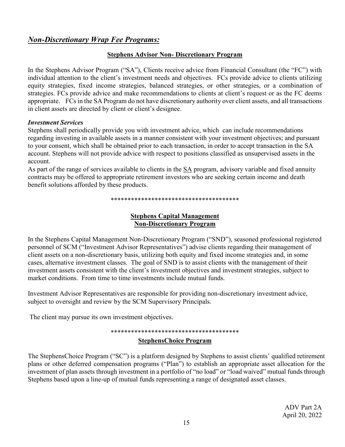# <span id="page-14-0"></span>*Non-Discretionary Wrap Fee Programs:*

## **Stephens Advisor Non- Discretionary Program**

In the Stephens Advisor Program ("SA"), Clients receive advice from Financial Consultant (the "FC") with individual attention to the client's investment needs and objectives. FCs provide advice to clients utilizing equity strategies, fixed income strategies, balanced strategies, or other strategies, or a combination of strategies. FCs provide advice and make recommendations to clients at client's request or as the FC deems appropriate. FCs in the SA Program do not have discretionary authority over client assets, and all transactions in client assets are directed by client or client's designee.

#### *Investment Services*

Stephens shall periodically provide you with investment advice, which can include recommendations regarding investing in available assets in a manner consistent with your investment objectives; and pursuant to your consent, which shall be obtained prior to each transaction, in order to accept transaction in the SA account. Stephens will not provide advice with respect to positions classified as unsupervised assets in the account.

As part of the range of services available to clients in the SA program, advisory variable and fixed annuity contracts may be offered to appropriate retirement investors who are seeking certain income and death benefit solutions afforded by these products.

\*\*\*\*\*\*\*\*\*\*\*\*\*\*\*\*\*\*\*\*\*\*\*\*\*\*\*\*\*\*\*\*\*\*\*\*\*\*

## **Stephens Capital Management Non-Discretionary Program**

In the Stephens Capital Management Non-Discretionary Program ("SND"), seasoned professional registered personnel of SCM ("Investment Advisor Representatives") advise clients regarding their management of client assets on a non-discretionary basis, utilizing both equity and fixed income strategies and, in some cases, alternative investment classes. The goal of SND is to assist clients with the management of their investment assets consistent with the client's investment objectives and investment strategies, subject to market conditions. From time to time investments include mutual funds.

Investment Advisor Representatives are responsible for providing non-discretionary investment advice, subject to oversight and review by the SCM Supervisory Principals.

The client may pursue its own investment objectives.

#### \*\*\*\*\*\*\*\*\*\*\*\*\*\*\*\*\*\*\*\*\*\*\*\*\*\*\*\*\*\*\*\*\*\*\*\*\*\*

## **StephensChoice Program**

The StephensChoice Program ("SC") is a platform designed by Stephens to assist clients' qualified retirement plans or other deferred compensation programs ("Plan") to establish an appropriate asset allocation for the investment of plan assets through investment in a portfolio of "no load" or "load waived" mutual funds through Stephens based upon a line-up of mutual funds representing a range of designated asset classes.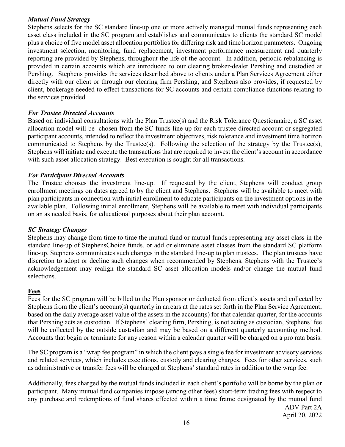#### *Mutual Fund Strategy*

Stephens selects for the SC standard line-up one or more actively managed mutual funds representing each asset class included in the SC program and establishes and communicates to clients the standard SC model plus a choice of five model asset allocation portfolios for differing risk and time horizon parameters. Ongoing investment selection, monitoring, fund replacement, investment performance measurement and quarterly reporting are provided by Stephens, throughout the life of the account. In addition, periodic rebalancing is provided in certain accounts which are introduced to our clearing broker-dealer Pershing and custodied at Pershing. Stephens provides the services described above to clients under a Plan Services Agreement either directly with our client or through our clearing firm Pershing, and Stephens also provides, if requested by client, brokerage needed to effect transactions for SC accounts and certain compliance functions relating to the services provided.

#### *For Trustee Directed Accounts*

Based on individual consultations with the Plan Trustee(s) and the Risk Tolerance Questionnaire, a SC asset allocation model will be chosen from the SC funds line-up for each trustee directed account or segregated participant accounts, intended to reflect the investment objectives, risk tolerance and investment time horizon communicated to Stephens by the Trustee(s). Following the selection of the strategy by the Trustee(s), Stephens will initiate and execute the transactions that are required to invest the client's account in accordance with such asset allocation strategy. Best execution is sought for all transactions.

#### *For Participant Directed Accounts*

The Trustee chooses the investment line-up. If requested by the client, Stephens will conduct group enrollment meetings on dates agreed to by the client and Stephens. Stephens will be available to meet with plan participants in connection with initial enrollment to educate participants on the investment options in the available plan. Following initial enrollment, Stephens will be available to meet with individual participants on an as needed basis, for educational purposes about their plan account.

#### *SC Strategy Changes*

Stephens may change from time to time the mutual fund or mutual funds representing any asset class in the standard line-up of StephensChoice funds, or add or eliminate asset classes from the standard SC platform line-up. Stephens communicates such changes in the standard line-up to plan trustees. The plan trustees have discretion to adopt or decline such changes when recommended by Stephens. Stephens with the Trustee's acknowledgement may realign the standard SC asset allocation models and/or change the mutual fund selections.

#### <span id="page-15-0"></span>**Fees**

Fees for the SC program will be billed to the Plan sponsor or deducted from client's assets and collected by Stephens from the client's account(s) quarterly in arrears at the rates set forth in the Plan Service Agreement, based on the daily average asset value of the assets in the account(s) for that calendar quarter, for the accounts that Pershing acts as custodian. If Stephens' clearing firm, Pershing, is not acting as custodian, Stephens' fee will be collected by the outside custodian and may be based on a different quarterly accounting method. Accounts that begin or terminate for any reason within a calendar quarter will be charged on a pro rata basis.

The SC program is a "wrap fee program" in which the client pays a single fee for investment advisory services and related services, which includes executions, custody and clearing charges. Fees for other services, such as administrative or transfer fees will be charged at Stephens' standard rates in addition to the wrap fee.

ADV Part 2A Additionally, fees charged by the mutual funds included in each client's portfolio will be borne by the plan or participant. Many mutual fund companies impose (among other fees) short-term trading fees with respect to any purchase and redemptions of fund shares effected within a time frame designated by the mutual fund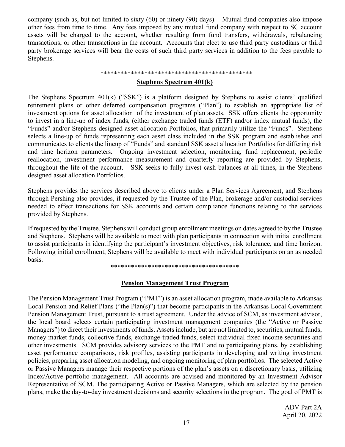company (such as, but not limited to sixty (60) or ninety (90) days). Mutual fund companies also impose other fees from time to time. Any fees imposed by any mutual fund company with respect to SC account assets will be charged to the account, whether resulting from fund transfers, withdrawals, rebalancing transactions, or other transactions in the account. Accounts that elect to use third party custodians or third party brokerage services will bear the costs of such third party services in addition to the fees payable to Stephens.

#### \*\*\*\*\*\*\*\*\*\*\*\*\*\*\*\*\*\*\*\*\*\*\*\*\*\*\*\*\*\*\*\*\*\*\*\*\*\*\*\*\*\*\*\*\*

#### **Stephens Spectrum 401(k)**

The Stephens Spectrum 401(k) ("SSK") is a platform designed by Stephens to assist clients' qualified retirement plans or other deferred compensation programs ("Plan") to establish an appropriate list of investment options for asset allocation of the investment of plan assets. SSK offers clients the opportunity to invest in a line-up of index funds, (either exchange traded funds (ETF) and/or index mutual funds), the "Funds" and/or Stephens designed asset allocation Portfolios, that primarily utilize the "Funds". Stephens selects a line-up of funds representing each asset class included in the SSK program and establishes and communicates to clients the lineup of "Funds" and standard SSK asset allocation Portfolios for differing risk and time horizon parameters. Ongoing investment selection, monitoring, fund replacement, periodic reallocation, investment performance measurement and quarterly reporting are provided by Stephens, throughout the life of the account. SSK seeks to fully invest cash balances at all times, in the Stephens designed asset allocation Portfolios.

Stephens provides the services described above to clients under a Plan Services Agreement, and Stephens through Pershing also provides, if requested by the Trustee of the Plan, brokerage and/or custodial services needed to effect transactions for SSK accounts and certain compliance functions relating to the services provided by Stephens.

If requested by the Trustee, Stephens will conduct group enrollment meetings on dates agreed to by the Trustee and Stephens. Stephens will be available to meet with plan participants in connection with initial enrollment to assist participants in identifying the participant's investment objectives, risk tolerance, and time horizon. Following initial enrollment, Stephens will be available to meet with individual participants on an as needed basis.

\*\*\*\*\*\*\*\*\*\*\*\*\*\*\*\*\*\*\*\*\*\*\*\*\*\*\*\*\*\*\*\*\*\*\*\*\*\*

#### **Pension Management Trust Program**

The Pension Management Trust Program ("PMT") is an asset allocation program, made available to Arkansas Local Pension and Relief Plans ("the Plan(s)") that become participants in the Arkansas Local Government Pension Management Trust, pursuant to a trust agreement. Under the advice of SCM, as investment advisor, the local board selects certain participating investment management companies (the "Active or Passive Managers") to direct their investments of funds. Assets include, but are not limited to, securities, mutual funds, money market funds, collective funds, exchange-traded funds, select individual fixed income securities and other investments. SCM provides advisory services to the PMT and to participating plans, by establishing asset performance comparisons, risk profiles, assisting participants in developing and writing investment policies, preparing asset allocation modeling, and ongoing monitoring of plan portfolios. The selected Active or Passive Managers manage their respective portions of the plan's assets on a discretionary basis, utilizing Index/Active portfolio management. All accounts are advised and monitored by an Investment Advisor Representative of SCM. The participating Active or Passive Managers, which are selected by the pension plans, make the day-to-day investment decisions and security selections in the program. The goal of PMT is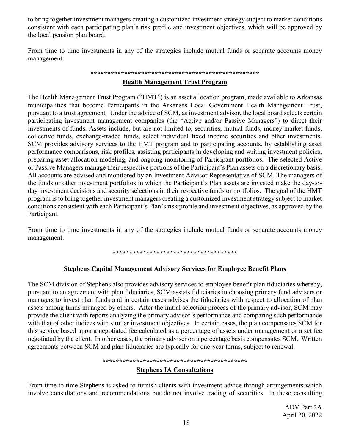to bring together investment managers creating a customized investment strategy subject to market conditions consistent with each participating plan's risk profile and investment objectives, which will be approved by the local pension plan board.

From time to time investments in any of the strategies include mutual funds or separate accounts money management.

#### **\*\*\*\*\*\*\*\*\*\*\*\*\*\*\*\*\*\*\*\*\*\*\*\*\*\*\*\*\*\*\*\*\*\*\*\*\*\*\*\*\*\*\*\*\*\*\*\*\*\***

#### **Health Management Trust Program**

The Health Management Trust Program ("HMT") is an asset allocation program, made available to Arkansas municipalities that become Participants in the Arkansas Local Government Health Management Trust, pursuant to a trust agreement. Under the advice of SCM, as investment advisor, the local board selects certain participating investment management companies (the "Active and/or Passive Managers") to direct their investments of funds. Assets include, but are not limited to, securities, mutual funds, money market funds, collective funds, exchange-traded funds, select individual fixed income securities and other investments. SCM provides advisory services to the HMT program and to participating accounts, by establishing asset performance comparisons, risk profiles, assisting participants in developing and writing investment policies, preparing asset allocation modeling, and ongoing monitoring of Participant portfolios. The selected Active or Passive Managers manage their respective portions of the Participant's Plan assets on a discretionary basis. All accounts are advised and monitored by an Investment Advisor Representative of SCM. The managers of the funds or other investment portfolios in which the Participant's Plan assets are invested make the day-today investment decisions and security selections in their respective funds or portfolios. The goal of the HMT program is to bring together investment managers creating a customized investment strategy subject to market conditions consistent with each Participant's Plan's risk profile and investment objectives, as approved by the Participant.

From time to time investments in any of the strategies include mutual funds or separate accounts money management.

#### **\*\*\*\*\*\*\*\*\*\*\*\*\*\*\*\*\*\*\*\*\*\*\*\*\*\*\*\*\*\*\*\*\*\*\*\*\***

## **Stephens Capital Management Advisory Services for Employee Benefit Plans**

The SCM division of Stephens also provides advisory services to employee benefit plan fiduciaries whereby, pursuant to an agreement with plan fiduciaries, SCM assists fiduciaries in choosing primary fund advisers or managers to invest plan funds and in certain cases advises the fiduciaries with respect to allocation of plan assets among funds managed by others. After the initial selection process of the primary advisor, SCM may provide the client with reports analyzing the primary advisor's performance and comparing such performance with that of other indices with similar investment objectives. In certain cases, the plan compensates SCM for this service based upon a negotiated fee calculated as a percentage of assets under management or a set fee negotiated by the client. In other cases, the primary adviser on a percentage basis compensates SCM. Written agreements between SCM and plan fiduciaries are typically for one-year terms, subject to renewal.

#### **\*\*\*\*\*\*\*\*\*\*\*\*\*\*\*\*\*\*\*\*\*\*\*\*\*\*\*\*\*\*\*\*\*\*\*\*\*\*\*\*\*\*\***

## **Stephens IA Consultations**

From time to time Stephens is asked to furnish clients with investment advice through arrangements which involve consultations and recommendations but do not involve trading of securities. In these consulting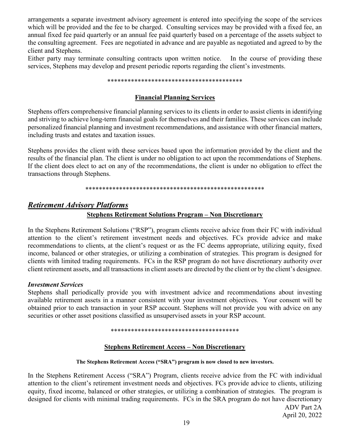arrangements a separate investment advisory agreement is entered into specifying the scope of the services which will be provided and the fee to be charged. Consulting services may be provided with a fixed fee, an annual fixed fee paid quarterly or an annual fee paid quarterly based on a percentage of the assets subject to the consulting agreement. Fees are negotiated in advance and are payable as negotiated and agreed to by the client and Stephens.

Either party may terminate consulting contracts upon written notice. In the course of providing these services, Stephens may develop and present periodic reports regarding the client's investments.

#### \*\*\*\*\*\*\*\*\*\*\*\*\*\*\*\*\*\*\*\*\*\*\*\*\*\*\*\*\*\*\*\*\*\*\*\*\*\*\*\*

#### **Financial Planning Services**

Stephens offers comprehensive financial planning services to its clients in order to assist clients in identifying and striving to achieve long-term financial goals for themselves and their families. These services can include personalized financial planning and investment recommendations, and assistance with other financial matters, including trusts and estates and taxation issues.

Stephens provides the client with these services based upon the information provided by the client and the results of the financial plan. The client is under no obligation to act upon the recommendations of Stephens. If the client does elect to act on any of the recommendations, the client is under no obligation to effect the transactions through Stephens.

#### \*\*\*\*\*\*\*\*\*\*\*\*\*\*\*\*\*\*\*\*\*\*\*\*\*\*\*\*\*\*\*\*\*\*\*\*\*\*\*\*\*\*\*\*\*\*\*\*\*\*\*\*\*

# <span id="page-18-0"></span>*Retirement Advisory Platforms* **Stephens Retirement Solutions Program – Non Discretionary**

In the Stephens Retirement Solutions ("RSP"), program clients receive advice from their FC with individual attention to the client's retirement investment needs and objectives. FCs provide advice and make recommendations to clients, at the client's request or as the FC deems appropriate, utilizing equity, fixed income, balanced or other strategies, or utilizing a combination of strategies. This program is designed for clients with limited trading requirements. FCs in the RSP program do not have discretionary authority over client retirement assets, and all transactions in client assets are directed by the client or by the client's designee.

#### *Investment Services*

Stephens shall periodically provide you with investment advice and recommendations about investing available retirement assets in a manner consistent with your investment objectives. Your consent will be obtained prior to each transaction in your RSP account. Stephens will not provide you with advice on any securities or other asset positions classified as unsupervised assets in your RSP account.

#### \*\*\*\*\*\*\*\*\*\*\*\*\*\*\*\*\*\*\*\*\*\*\*\*\*\*\*\*\*\*\*\*\*\*\*\*\*\*

#### **Stephens Retirement Access – Non Discretionary**

#### **The Stephens Retirement Access ("SRA") program is now closed to new investors.**

ADV Part 2A In the Stephens Retirement Access ("SRA") Program, clients receive advice from the FC with individual attention to the client's retirement investment needs and objectives. FCs provide advice to clients, utilizing equity, fixed income, balanced or other strategies, or utilizing a combination of strategies. The program is designed for clients with minimal trading requirements. FCs in the SRA program do not have discretionary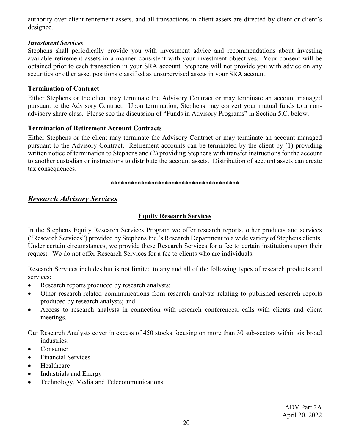authority over client retirement assets, and all transactions in client assets are directed by client or client's designee.

#### *Investment Services*

Stephens shall periodically provide you with investment advice and recommendations about investing available retirement assets in a manner consistent with your investment objectives. Your consent will be obtained prior to each transaction in your SRA account. Stephens will not provide you with advice on any securities or other asset positions classified as unsupervised assets in your SRA account.

#### <span id="page-19-0"></span>**Termination of Contract**

Either Stephens or the client may terminate the Advisory Contract or may terminate an account managed pursuant to the Advisory Contract. Upon termination, Stephens may convert your mutual funds to a nonadvisory share class. Please see the discussion of "Funds in Advisory Programs" in Section 5.C. below.

#### <span id="page-19-1"></span>**Termination of Retirement Account Contracts**

Either Stephens or the client may terminate the Advisory Contract or may terminate an account managed pursuant to the Advisory Contract. Retirement accounts can be terminated by the client by (1) providing written notice of termination to Stephens and (2) providing Stephens with transfer instructions for the account to another custodian or instructions to distribute the account assets. Distribution of account assets can create tax consequences.

\*\*\*\*\*\*\*\*\*\*\*\*\*\*\*\*\*\*\*\*\*\*\*\*\*\*\*\*\*\*\*\*\*\*\*\*\*\*

# <span id="page-19-2"></span>*Research Advisory Services*

## **Equity Research Services**

In the Stephens Equity Research Services Program we offer research reports, other products and services ("Research Services") provided by Stephens Inc.'s Research Department to a wide variety of Stephens clients. Under certain circumstances, we provide these Research Services for a fee to certain institutions upon their request. We do not offer Research Services for a fee to clients who are individuals.

Research Services includes but is not limited to any and all of the following types of research products and services:

- Research reports produced by research analysts;
- Other research-related communications from research analysts relating to published research reports produced by research analysts; and
- Access to research analysts in connection with research conferences, calls with clients and client meetings.

Our Research Analysts cover in excess of 450 stocks focusing on more than 30 sub-sectors within six broad industries:

- Consumer
- Financial Services
- Healthcare
- Industrials and Energy
- Technology, Media and Telecommunications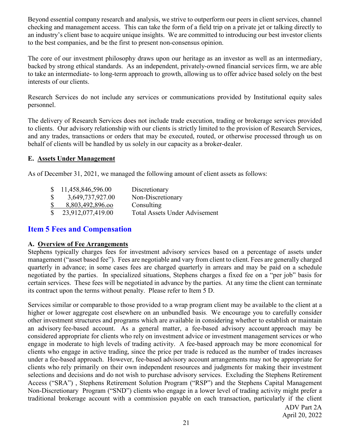Beyond essential company research and analysis, we strive to outperform our peers in client services, channel checking and management access. This can take the form of a field trip on a private jet or talking directly to an industry's client base to acquire unique insights. We are committed to introducing our best investor clients to the best companies, and be the first to present non-consensus opinion.

The core of our investment philosophy draws upon our heritage as an investor as well as an intermediary, backed by strong ethical standards. As an independent, privately-owned financial services firm, we are able to take an intermediate- to long-term approach to growth, allowing us to offer advice based solely on the best interests of our clients.

Research Services do not include any services or communications provided by Institutional equity sales personnel.

The delivery of Research Services does not include trade execution, trading or brokerage services provided to clients. Our advisory relationship with our clients is strictly limited to the provision of Research Services, and any trades, transactions or orders that may be executed, routed, or otherwise processed through us on behalf of clients will be handled by us solely in our capacity as a broker-dealer.

#### <span id="page-20-0"></span>**E. Assets Under Management**

As of December 31, 2021, we managed the following amount of client assets as follows:

|              | \$11,458,846,596.00 | Discretionary                        |
|--------------|---------------------|--------------------------------------|
| $\mathbb{S}$ | 3,649,737,927.00    | Non-Discretionary                    |
| $\mathbb{S}$ | 8,803,492,896.00    | Consulting                           |
|              | \$23,912,077,419.00 | <b>Total Assets Under Advisement</b> |

# <span id="page-20-1"></span>**Item 5 Fees and Compensation**

## <span id="page-20-2"></span>**A. Overview of Fee Arrangements**

Stephens typically charges fees for investment advisory services based on a percentage of assets under management ("asset based fee"). Fees are negotiable and vary from client to client. Fees are generally charged quarterly in advance; in some cases fees are charged quarterly in arrears and may be paid on a schedule negotiated by the parties. In specialized situations, Stephens charges a fixed fee on a "per job" basis for certain services. These fees will be negotiated in advance by the parties. At any time the client can terminate its contract upon the terms without penalty. Please refer to Item 5 D.

Services similar or comparable to those provided to a wrap program client may be available to the client at a higher or lower aggregate cost elsewhere on an unbundled basis. We encourage you to carefully consider other investment structures and programs which are available in considering whether to establish or maintain an advisory fee-based account. As a general matter, a fee-based advisory account approach may be considered appropriate for clients who rely on investment advice or investment management services or who engage in moderate to high levels of trading activity. A fee-based approach may be more economical for clients who engage in active trading, since the price per trade is reduced as the number of trades increases under a fee-based approach. However, fee-based advisory account arrangements may not be appropriate for clients who rely primarily on their own independent resources and judgments for making their investment selections and decisions and do not wish to purchase advisory services. Excluding the Stephens Retirement Access ("SRA") , Stephens Retirement Solution Program ("RSP") and the Stephens Capital Management Non-Discretionary Program ("SND") clients who engage in a lower level of trading activity might prefer a traditional brokerage account with a commission payable on each transaction, particularly if the client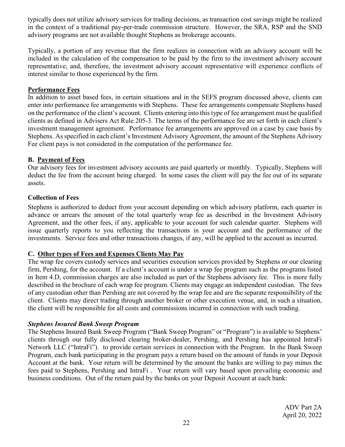typically does not utilize advisory services for trading decisions, as transaction cost savings might be realized in the context of a traditional pay-per-trade commission structure. However, the SRA, RSP and the SND advisory programs are not available thought Stephens as brokerage accounts.

Typically, a portion of any revenue that the firm realizes in connection with an advisory account will be included in the calculation of the compensation to be paid by the firm to the investment advisory account representative; and, therefore, the investment advisory account representative will experience conflicts of interest similar to those experienced by the firm.

#### **Performance Fees**

In addition to asset based fees, in certain situations and in the SEFS program discussed above, clients can enter into performance fee arrangements with Stephens. These fee arrangements compensate Stephens based on the performance of the client's account. Clients entering into this type of fee arrangement must be qualified clients as defined in Advisers Act Rule 205-3. The terms of the performance fee are set forth in each client's investment management agreement. Performance fee arrangements are approved on a case by case basis by Stephens. As specified in each client's Investment Advisory Agreement, the amount of the Stephens Advisory Fee client pays is not considered in the computation of the performance fee.

## <span id="page-21-0"></span>**B. Payment of Fees**

Our advisory fees for investment advisory accounts are paid quarterly or monthly. Typically, Stephens will deduct the fee from the account being charged. In some cases the client will pay the fee out of its separate assets.

## <span id="page-21-1"></span>**Collection of Fees**

Stephens is authorized to deduct from your account depending on which advisory platform, each quarter in advance or arrears the amount of the total quarterly wrap fee as described in the Investment Advisory Agreement, and the other fees, if any, applicable to your account for such calendar quarter. Stephens will issue quarterly reports to you reflecting the transactions in your account and the performance of the investments. Service fees and other transactions changes, if any, will be applied to the account as incurred.

## <span id="page-21-2"></span>**C. Other types of Fees and Expenses Clients May Pay**

The wrap fee covers custody services and securities execution services provided by Stephens or our clearing firm, Pershing, for the account. If a client's account is under a wrap fee program such as the programs listed in Item 4.D, commission charges are also included as part of the Stephens advisory fee. This is more fully described in the brochure of each wrap fee program. Clients may engage an independent custodian. The fees of any custodian other than Pershing are not covered by the wrap fee and are the separate responsibility of the client. Clients may direct trading through another broker or other execution venue, and, in such a situation, the client will be responsible for all costs and commissions incurred in connection with such trading.

## *Stephens Insured Bank Sweep Program*

The Stephens Insured Bank Sweep Program ("Bank Sweep Program" or "Program") is available to Stephens' clients through our fully disclosed clearing broker-dealer, Pershing, and Pershing has appointed IntraFi Network LLC ("IntraFi"). to provide certain services in connection with the Program. In the Bank Sweep Program, each bank participating in the program pays a return based on the amount of funds in your Deposit Account at the bank. Your return will be determined by the amount the banks are willing to pay minus the fees paid to Stephens, Pershing and IntraFi . Your return will vary based upon prevailing economic and business conditions. Out of the return paid by the banks on your Deposit Account at each bank: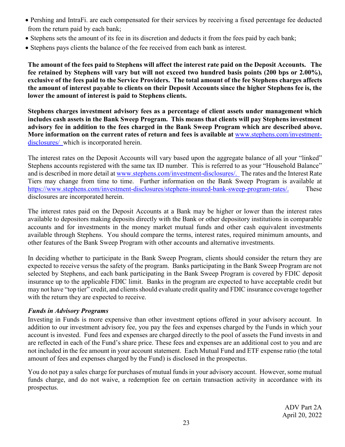- Pershing and IntraFi. are each compensated for their services by receiving a fixed percentage fee deducted from the return paid by each bank;
- Stephens sets the amount of its fee in its discretion and deducts it from the fees paid by each bank;
- Stephens pays clients the balance of the fee received from each bank as interest.

**The amount of the fees paid to Stephens will affect the interest rate paid on the Deposit Accounts. The fee retained by Stephens will vary but will not exceed two hundred basis points (200 bps or 2.00%), exclusive of the fees paid to the Service Providers. The total amount of the fee Stephens charges affects the amount of interest payable to clients on their Deposit Accounts since the higher Stephens fee is, the lower the amount of interest is paid to Stephens clients.** 

**Stephens charges investment advisory fees as a percentage of client assets under management which includes cash assets in the Bank Sweep Program. This means that clients will pay Stephens investment advisory fee in addition to the fees charged in the Bank Sweep Program which are described above. More information on the current rates of return and fees is available at** [www.stephens.com/investment](http://www.stephens.com/investment-disclosures/)[disclosures/](http://www.stephens.com/investment-disclosures/) which is incorporated herein.

The interest rates on the Deposit Accounts will vary based upon the aggregate balance of all your "linked" Stephens accounts registered with the same tax ID number. This is referred to as your "Household Balance" and is described in more detail at [www.stephens.com/investment-disclosures/.](http://www.stephens.com/investment-disclosures/) The rates and the Interest Rate Tiers may change from time to time. Further information on the Bank Sweep Program is available at [https://www.stephens.com/investment-disclosures/stephens-insured-bank-sweep-program-rates/.](https://www.stephens.com/investment-disclosures/stephens-insured-bank-sweep-program-rates/) These disclosures are incorporated herein.

The interest rates paid on the Deposit Accounts at a Bank may be higher or lower than the interest rates available to depositors making deposits directly with the Bank or other depository institutions in comparable accounts and for investments in the money market mutual funds and other cash equivalent investments available through Stephens. You should compare the terms, interest rates, required minimum amounts, and other features of the Bank Sweep Program with other accounts and alternative investments.

In deciding whether to participate in the Bank Sweep Program, clients should consider the return they are expected to receive versus the safety of the program. Banks participating in the Bank Sweep Program are not selected by Stephens, and each bank participating in the Bank Sweep Program is covered by FDIC deposit insurance up to the applicable FDIC limit. Banks in the program are expected to have acceptable credit but may not have "top tier" credit, and clients should evaluate credit quality and FDIC insurance coverage together with the return they are expected to receive.

## <span id="page-22-0"></span>*Funds in Advisory Programs*

Investing in Funds is more expensive than other investment options offered in your advisory account. In addition to our investment advisory fee, you pay the fees and expenses charged by the Funds in which your account is invested. Fund fees and expenses are charged directly to the pool of assets the Fund invests in and are reflected in each of the Fund's share price. These fees and expenses are an additional cost to you and are not included in the fee amount in your account statement. Each Mutual Fund and ETF expense ratio (the total amount of fees and expenses charged by the Fund) is disclosed in the prospectus.

You do not pay a sales charge for purchases of mutual funds in your advisory account. However, some mutual funds charge, and do not waive, a redemption fee on certain transaction activity in accordance with its prospectus.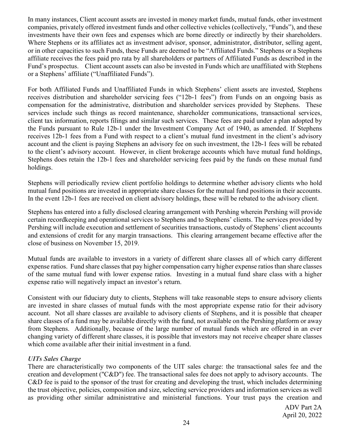In many instances, Client account assets are invested in money market funds, mutual funds, other investment companies, privately offered investment funds and other collective vehicles (collectively, "Funds"), and these investments have their own fees and expenses which are borne directly or indirectly by their shareholders. Where Stephens or its affiliates act as investment advisor, sponsor, administrator, distributor, selling agent, or in other capacities to such Funds, these Funds are deemed to be "Affiliated Funds." Stephens or a Stephens affiliate receives the fees paid pro rata by all shareholders or partners of Affiliated Funds as described in the Fund's prospectus. Client account assets can also be invested in Funds which are unaffiliated with Stephens or a Stephens' affiliate ("Unaffiliated Funds").

For both Affiliated Funds and Unaffiliated Funds in which Stephens' client assets are invested, Stephens receives distribution and shareholder servicing fees ("12b-1 fees") from Funds on an ongoing basis as compensation for the administrative, distribution and shareholder services provided by Stephens. These services include such things as record maintenance, shareholder communications, transactional services, client tax information, reports filings and similar such services. These fees are paid under a plan adopted by the Funds pursuant to Rule 12b-1 under the Investment Company Act of 1940, as amended. If Stephens receives 12b-1 fees from a Fund with respect to a client's mutual fund investment in the client's advisory account and the client is paying Stephens an advisory fee on such investment, the 12b-1 fees will be rebated to the client's advisory account. However, in client brokerage accounts which have mutual fund holdings, Stephens does retain the 12b-1 fees and shareholder servicing fees paid by the funds on these mutual fund holdings.

Stephens will periodically review client portfolio holdings to determine whether advisory clients who hold mutual fund positions are invested in appropriate share classes for the mutual fund positions in their accounts. In the event 12b-1 fees are received on client advisory holdings, these will be rebated to the advisory client.

Stephens has entered into a fully disclosed clearing arrangement with Pershing wherein Pershing will provide certain recordkeeping and operational services to Stephens and to Stephens' clients. The services provided by Pershing will include execution and settlement of securities transactions, custody of Stephens' client accounts and extensions of credit for any margin transactions. This clearing arrangement became effective after the close of business on November 15, 2019.

Mutual funds are available to investors in a variety of different share classes all of which carry different expense ratios. Fund share classes that pay higher compensation carry higher expense ratios than share classes of the same mutual fund with lower expense ratios. Investing in a mutual fund share class with a higher expense ratio will negatively impact an investor's return.

Consistent with our fiduciary duty to clients, Stephens will take reasonable steps to ensure advisory clients are invested in share classes of mutual funds with the most appropriate expense ratio for their advisory account. Not all share classes are available to advisory clients of Stephens, and it is possible that cheaper share classes of a fund may be available directly with the fund, not available on the Pershing platform or away from Stephens. Additionally, because of the large number of mutual funds which are offered in an ever changing variety of different share classes, it is possible that investors may not receive cheaper share classes which come available after their initial investment in a fund.

## <span id="page-23-0"></span>*UITs Sales Charge*

There are characteristically two components of the UIT sales charge: the transactional sales fee and the creation and development ("C&D") fee. The transactional sales fee does not apply to advisory accounts. The C&D fee is paid to the sponsor of the trust for creating and developing the trust, which includes determining the trust objective, policies, composition and size, selecting service providers and information services as well as providing other similar administrative and ministerial functions. Your trust pays the creation and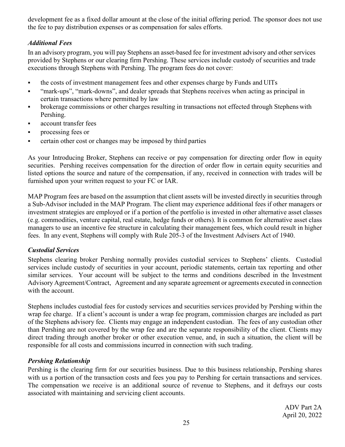development fee as a fixed dollar amount at the close of the initial offering period. The sponsor does not use the fee to pay distribution expenses or as compensation for sales efforts.

## <span id="page-24-0"></span>*Additional Fees*

In an advisory program, you will pay Stephens an asset-based fee for investment advisory and other services provided by Stephens or our clearing firm Pershing. These services include custody of securities and trade executions through Stephens with Pershing. The program fees do not cover:

- the costs of investment management fees and other expenses charge by Funds and UITs
- "mark-ups", "mark-downs", and dealer spreads that Stephens receives when acting as principal in certain transactions where permitted by law
- **•** brokerage commissions or other charges resulting in transactions not effected through Stephens with Pershing.
- **account transfer fees**
- **processing fees or**
- **•** certain other cost or changes may be imposed by third parties

As your Introducing Broker, Stephens can receive or pay compensation for directing order flow in equity securities. Pershing receives compensation for the direction of order flow in certain equity securities and listed options the source and nature of the compensation, if any, received in connection with trades will be furnished upon your written request to your FC or IAR.

MAP Program fees are based on the assumption that client assets will be invested directly in securities through a Sub-Advisor included in the MAP Program. The client may experience additional fees if other managers or investment strategies are employed or if a portion of the portfolio is invested in other alternative asset classes (e.g. commodities, venture capital, real estate, hedge funds or others). It is common for alternative asset class managers to use an incentive fee structure in calculating their management fees, which could result in higher fees. In any event, Stephens will comply with Rule 205-3 of the Investment Advisers Act of 1940.

## <span id="page-24-1"></span>*Custodial Services*

Stephens clearing broker Pershing normally provides custodial services to Stephens' clients. Custodial services include custody of securities in your account, periodic statements, certain tax reporting and other similar services. Your account will be subject to the terms and conditions described in the Investment Advisory Agreement/Contract, Agreement and any separate agreement or agreements executed in connection with the account.

Stephens includes custodial fees for custody services and securities services provided by Pershing within the wrap fee charge. If a client's account is under a wrap fee program, commission charges are included as part of the Stephens advisory fee. Clients may engage an independent custodian. The fees of any custodian other than Pershing are not covered by the wrap fee and are the separate responsibility of the client. Clients may direct trading through another broker or other execution venue, and, in such a situation, the client will be responsible for all costs and commissions incurred in connection with such trading.

# *Pershing Relationship*

Pershing is the clearing firm for our securities business. Due to this business relationship, Pershing shares with us a portion of the transaction costs and fees you pay to Pershing for certain transactions and services. The compensation we receive is an additional source of revenue to Stephens, and it defrays our costs associated with maintaining and servicing client accounts.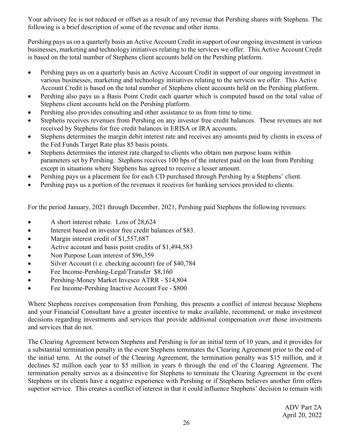Your advisory fee is not reduced or offset as a result of any revenue that Pershing shares with Stephens. The following is a brief description of some of the revenue and other items.

Pershing pays us on a quarterly basis an Active Account Credit in support of our ongoing investment in various businesses, marketing and technology initiatives relating to the services we offer. This Active Account Credit is based on the total number of Stephens client accounts held on the Pershing platform.

- Pershing pays us on a quarterly basis an Active Account Credit in support of our ongoing investment in various businesses, marketing and technology initiatives relating to the services we offer. This Active Account Credit is based on the total number of Stephens client accounts held on the Pershing platform.
- Pershing also pays us a Basis Point Credit each quarter which is computed based on the total value of Stephens client accounts held on the Pershing platform.
- Pershing also provides consulting and other assistance to us from time to time.
- Stephens receives revenues from Pershing on any investor free credit balances. These revenues are not received by Stephens for free credit balances in ERISA or IRA accounts.
- Stephens determines the margin debit interest rate and receives any amounts paid by clients in excess of the Fed Funds Target Rate plus 85 basis points.
- Stephens determines the interest rate charged to clients who obtain non purpose loans within parameters set by Pershing. Stephens receives 100 bps of the interest paid on the loan from Pershing except in situations where Stephens has agreed to receive a lesser amount.
- Pershing pays us a placement fee for each CD purchased through Pershing by a Stephens' client.
- Pershing pays us a portion of the revenues it receives for banking services provided to clients.

For the period January, 2021 through December, 2021, Pershing paid Stephens the following revenues:

- A short interest rebate. Loss of 28,624
- Interest based on investor free credit balances of \$83.
- Margin interest credit of \$1,557,687
- Active account and basis point credits of \$1,494,583
- Non Purpose Loan interest of \$96,359
- Silver Account (i.e. checking account) fee of \$40,784
- Fee Income-Pershing-Legal/Transfer \$8,160
- Pershing-Money Market Invesco ATRR \$14,804
- Fee Income-Pershing Inactive Account Fee \$800

Where Stephens receives compensation from Pershing, this presents a conflict of interest because Stephens and your Financial Consultant have a greater incentive to make available, recommend, or make investment decisions regarding investments and services that provide additional compensation over those investments and services that do not.

The Clearing Agreement between Stephens and Pershing is for an initial term of 10 years, and it provides for a substantial termination penalty in the event Stephens terminates the Clearing Agreement prior to the end of the initial term. At the outset of the Clearing Agreement, the termination penalty was \$15 million, and it declines \$2 million each year to \$5 million in years 6 through the end of the Clearing Agreement. The termination penalty serves as a disincentive for Stephens to terminate the Clearing Agreement in the event Stephens or its clients have a negative experience with Pershing or if Stephens believes another firm offers superior service. This creates a conflict of interest in that it could influence Stephens' decision to remain with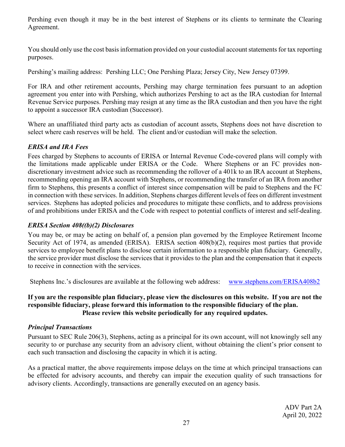Pershing even though it may be in the best interest of Stephens or its clients to terminate the Clearing Agreement.

You should only use the cost basis information provided on your custodial account statements for tax reporting purposes.

Pershing's mailing address: Pershing LLC; One Pershing Plaza; Jersey City, New Jersey 07399.

For IRA and other retirement accounts, Pershing may charge termination fees pursuant to an adoption agreement you enter into with Pershing, which authorizes Pershing to act as the IRA custodian for Internal Revenue Service purposes. Pershing may resign at any time as the IRA custodian and then you have the right to appoint a successor IRA custodian (Successor).

Where an unaffiliated third party acts as custodian of account assets, Stephens does not have discretion to select where cash reserves will be held. The client and/or custodian will make the selection.

# <span id="page-26-0"></span>*ERISA and IRA Fees*

Fees charged by Stephens to accounts of ERISA or Internal Revenue Code-covered plans will comply with the limitations made applicable under ERISA or the Code. Where Stephens or an FC provides nondiscretionary investment advice such as recommending the rollover of a 401k to an IRA account at Stephens, recommending opening an IRA account with Stephens, or recommending the transfer of an IRA from another firm to Stephens, this presents a conflict of interest since compensation will be paid to Stephens and the FC in connection with these services. In addition, Stephens charges different levels of fees on different investment services. Stephens has adopted policies and procedures to mitigate these conflicts, and to address provisions of and prohibitions under ERISA and the Code with respect to potential conflicts of interest and self-dealing.

# <span id="page-26-1"></span>*ERISA Section 408((b)(2) Disclosures*

You may be, or may be acting on behalf of, a pension plan governed by the Employee Retirement Income Security Act of 1974, as amended (ERISA). ERISA section 408(b)(2), requires most parties that provide services to employee benefit plans to disclose certain information to a responsible plan fiduciary. Generally, the service provider must disclose the services that it provides to the plan and the compensation that it expects to receive in connection with the services.

Stephens Inc.'s disclosures are available at the following web address: [www.stephens.com/ERISA408b2](http://www.stephens.com/ERISA408b2)

## **If you are the responsible plan fiduciary, please view the disclosures on this website. If you are not the responsible fiduciary, please forward this information to the responsible fiduciary of the plan. Please review this website periodically for any required updates.**

## <span id="page-26-2"></span>*Principal Transactions*

Pursuant to SEC Rule 206(3), Stephens, acting as a principal for its own account, will not knowingly sell any security to or purchase any security from an advisory client, without obtaining the client's prior consent to each such transaction and disclosing the capacity in which it is acting.

As a practical matter, the above requirements impose delays on the time at which principal transactions can be effected for advisory accounts, and thereby can impair the execution quality of such transactions for advisory clients. Accordingly, transactions are generally executed on an agency basis.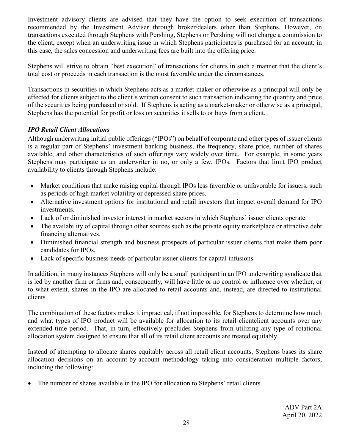Investment advisory clients are advised that they have the option to seek execution of transactions recommended by the Investment Adviser through broker/dealers other than Stephens. However, on transactions executed through Stephens with Pershing, Stephens or Pershing will not charge a commission to the client, except when an underwriting issue in which Stephens participates is purchased for an account; in this case, the sales concession and underwriting fees are built into the offering price.

Stephens will strive to obtain "best execution" of transactions for clients in such a manner that the client's total cost or proceeds in each transaction is the most favorable under the circumstances.

Transactions in securities in which Stephens acts as a market-maker or otherwise as a principal will only be effected for clients subject to the client's written consent to such transaction indicating the quantity and price of the securities being purchased or sold. If Stephens is acting as a market-maker or otherwise as a principal, Stephens has the potential for profit or loss on securities it sells to or buys from a client.

# *IPO Retail Client Allocations*

Although underwriting initial public offerings ("IPOs") on behalf of corporate and other types of issuer clients is a regular part of Stephens' investment banking business, the frequency, share price, number of shares available, and other characteristics of such offerings vary widely over time. For example, in some years Stephens may participate as an underwriter in no, or only a few, IPOs. Factors that limit IPO product availability to clients through Stephens include:

- Market conditions that make raising capital through IPOs less favorable or unfavorable for issuers, such as periods of high market volatility or depressed share prices.
- Alternative investment options for institutional and retail investors that impact overall demand for IPO investments.
- Lack of or diminished investor interest in market sectors in which Stephens' issuer clients operate.
- The availability of capital through other sources such as the private equity marketplace or attractive debt financing alternatives.
- Diminished financial strength and business prospects of particular issuer clients that make them poor candidates for IPOs.
- Lack of specific business needs of particular issuer clients for capital infusions.

In addition, in many instances Stephens will only be a small participant in an IPO underwriting syndicate that is led by another firm or firms and, consequently, will have little or no control or influence over whether, or to what extent, shares in the IPO are allocated to retail accounts and, instead, are directed to institutional clients.

The combination of these factors makes it impractical, if not impossible, for Stephens to determine how much and what types of IPO product will be available for allocation to its retail clientclient accounts over any extended time period. That, in turn, effectively precludes Stephens from utilizing any type of rotational allocation system designed to ensure that all of its retail client accounts are treated equitably.

Instead of attempting to allocate shares equitably across all retail client accounts, Stephens bases its share allocation decisions on an account-by-account methodology taking into consideration multiple factors, including the following:

The number of shares available in the IPO for allocation to Stephens' retail clients.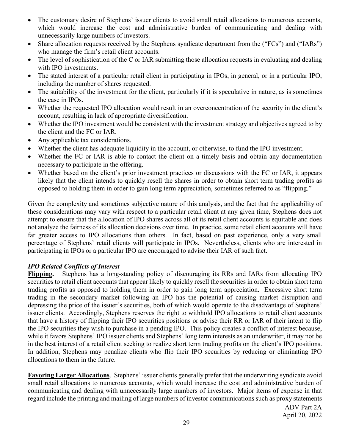- The customary desire of Stephens' issuer clients to avoid small retail allocations to numerous accounts, which would increase the cost and administrative burden of communicating and dealing with unnecessarily large numbers of investors.
- Share allocation requests received by the Stephens syndicate department from the ("FCs") and ("IARs") who manage the firm's retail client accounts.
- The level of sophistication of the C or IAR submitting those allocation requests in evaluating and dealing with IPO investments.
- The stated interest of a particular retail client in participating in IPOs, in general, or in a particular IPO, including the number of shares requested.
- The suitability of the investment for the client, particularly if it is speculative in nature, as is sometimes the case in IPOs.
- Whether the requested IPO allocation would result in an overconcentration of the security in the client's account, resulting in lack of appropriate diversification.
- Whether the IPO investment would be consistent with the investment strategy and objectives agreed to by the client and the FC or IAR.
- Any applicable tax considerations.
- Whether the client has adequate liquidity in the account, or otherwise, to fund the IPO investment.
- Whether the FC or IAR is able to contact the client on a timely basis and obtain any documentation necessary to participate in the offering.
- Whether based on the client's prior investment practices or discussions with the FC or IAR, it appears likely that the client intends to quickly resell the shares in order to obtain short term trading profits as opposed to holding them in order to gain long term appreciation, sometimes referred to as "flipping."

Given the complexity and sometimes subjective nature of this analysis, and the fact that the applicability of these considerations may vary with respect to a particular retail client at any given time, Stephens does not attempt to ensure that the allocation of IPO shares across all of its retail client accounts is equitable and does not analyze the fairness of its allocation decisions over time. In practice, some retail client accounts will have far greater access to IPO allocations than others. In fact, based on past experience, only a very small percentage of Stephens' retail clients will participate in IPOs. Nevertheless, clients who are interested in participating in IPOs or a particular IPO are encouraged to advise their IAR of such fact.

# *IPO Related Conflicts of Interest*

**Flipping.** Stephens has a long-standing policy of discouraging its RRs and IARs from allocating IPO securities to retail client accounts that appear likely to quickly resell the securities in order to obtain short term trading profits as opposed to holding them in order to gain long term appreciation. Excessive short term trading in the secondary market following an IPO has the potential of causing market disruption and depressing the price of the issuer's securities, both of which would operate to the disadvantage of Stephens' issuer clients. Accordingly, Stephens reserves the right to withhold IPO allocations to retail client accounts that have a history of flipping their IPO securities positions or advise their RR or IAR of their intent to flip the IPO securities they wish to purchase in a pending IPO. This policy creates a conflict of interest because, while it favors Stephens' IPO issuer clients and Stephens' long term interests as an underwriter, it may not be in the best interest of a retail client seeking to realize short term trading profits on the client's IPO positions. In addition, Stephens may penalize clients who flip their IPO securities by reducing or eliminating IPO allocations to them in the future.

**Favoring Larger Allocations**. Stephens' issuer clients generally prefer that the underwriting syndicate avoid small retail allocations to numerous accounts, which would increase the cost and administrative burden of communicating and dealing with unnecessarily large numbers of investors. Major items of expense in that regard include the printing and mailing of large numbers of investor communications such as proxy statements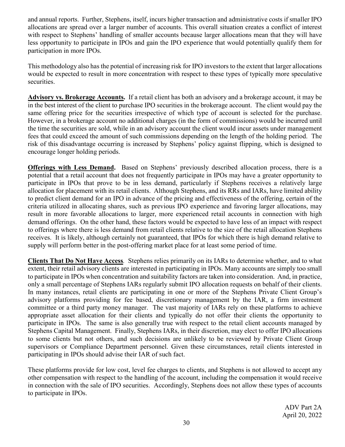and annual reports. Further, Stephens, itself, incurs higher transaction and administrative costs if smaller IPO allocations are spread over a larger number of accounts. This overall situation creates a conflict of interest with respect to Stephens' handling of smaller accounts because larger allocations mean that they will have less opportunity to participate in IPOs and gain the IPO experience that would potentially qualify them for participation in more IPOs.

This methodology also has the potential of increasing risk for IPO investors to the extent that larger allocations would be expected to result in more concentration with respect to these types of typically more speculative securities.

**Advisory vs. Brokerage Accounts.** If a retail client has both an advisory and a brokerage account, it may be in the best interest of the client to purchase IPO securities in the brokerage account. The client would pay the same offering price for the securities irrespective of which type of account is selected for the purchase. However, in a brokerage account no additional charges (in the form of commissions) would be incurred until the time the securities are sold, while in an advisory account the client would incur assets under management fees that could exceed the amount of such commissions depending on the length of the holding period. The risk of this disadvantage occurring is increased by Stephens' policy against flipping, which is designed to encourage longer holding periods.

**Offerings with Less Demand.** Based on Stephens' previously described allocation process, there is a potential that a retail account that does not frequently participate in IPOs may have a greater opportunity to participate in IPOs that prove to be in less demand, particularly if Stephens receives a relatively large allocation for placement with its retail clients. Although Stephens, and its RRs and IARs, have limited ability to predict client demand for an IPO in advance of the pricing and effectiveness of the offering, certain of the criteria utilized in allocating shares, such as previous IPO experience and favoring larger allocations, may result in more favorable allocations to larger, more experienced retail accounts in connection with high demand offerings. On the other hand, these factors would be expected to have less of an impact with respect to offerings where there is less demand from retail clients relative to the size of the retail allocation Stephens receives. It is likely, although certainly not guaranteed, that IPOs for which there is high demand relative to supply will perform better in the post-offering market place for at least some period of time.

**Clients That Do Not Have Access***.* Stephens relies primarily on its IARs to determine whether, and to what extent, their retail advisory clients are interested in participating in IPOs. Many accounts are simply too small to participate in IPOs when concentration and suitability factors are taken into consideration. And, in practice, only a small percentage of Stephens IARs regularly submit IPO allocation requests on behalf of their clients. In many instances, retail clients are participating in one or more of the Stephens Private Client Group's advisory platforms providing for fee based, discretionary management by the IAR, a firm investment committee or a third party money manager. The vast majority of IARs rely on these platforms to achieve appropriate asset allocation for their clients and typically do not offer their clients the opportunity to participate in IPOs. The same is also generally true with respect to the retail client accounts managed by Stephens Capital Management. Finally, Stephens IARs, in their discretion, may elect to offer IPO allocations to some clients but not others, and such decisions are unlikely to be reviewed by Private Client Group supervisors or Compliance Department personnel. Given these circumstances, retail clients interested in participating in IPOs should advise their IAR of such fact.

These platforms provide for low cost, level fee charges to clients, and Stephens is not allowed to accept any other compensation with respect to the handling of the account, including the compensation it would receive in connection with the sale of IPO securities. Accordingly, Stephens does not allow these types of accounts to participate in IPOs.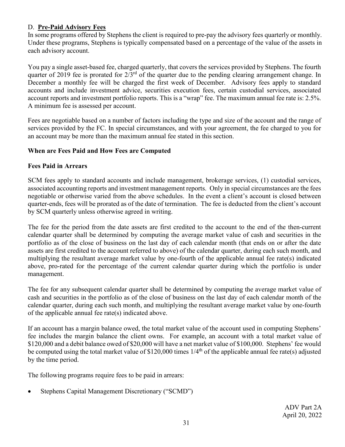## <span id="page-30-0"></span>D. **Pre-Paid Advisory Fees**

In some programs offered by Stephens the client is required to pre-pay the advisory fees quarterly or monthly. Under these programs, Stephens is typically compensated based on a percentage of the value of the assets in each advisory account.

You pay a single asset-based fee, charged quarterly, that covers the services provided by Stephens. The fourth quarter of 2019 fee is prorated for  $2/3^{rd}$  of the quarter due to the pending clearing arrangement change. In December a monthly fee will be charged the first week of December. Advisory fees apply to standard accounts and include investment advice, securities execution fees, certain custodial services, associated account reports and investment portfolio reports. This is a "wrap" fee. The maximum annual fee rate is: 2.5%. A minimum fee is assessed per account.

Fees are negotiable based on a number of factors including the type and size of the account and the range of services provided by the FC. In special circumstances, and with your agreement, the fee charged to you for an account may be more than the maximum annual fee stated in this section.

#### **When are Fees Paid and How Fees are Computed**

#### **Fees Paid in Arrears**

SCM fees apply to standard accounts and include management, brokerage services, (1) custodial services, associated accounting reports and investment management reports. Only in special circumstances are the fees negotiable or otherwise varied from the above schedules. In the event a client's account is closed between quarter-ends, fees will be prorated as of the date of termination. The fee is deducted from the client's account by SCM quarterly unless otherwise agreed in writing.

The fee for the period from the date assets are first credited to the account to the end of the then-current calendar quarter shall be determined by computing the average market value of cash and securities in the portfolio as of the close of business on the last day of each calendar month (that ends on or after the date assets are first credited to the account referred to above) of the calendar quarter, during each such month, and multiplying the resultant average market value by one-fourth of the applicable annual fee rate(s) indicated above, pro-rated for the percentage of the current calendar quarter during which the portfolio is under management.

The fee for any subsequent calendar quarter shall be determined by computing the average market value of cash and securities in the portfolio as of the close of business on the last day of each calendar month of the calendar quarter, during each such month, and multiplying the resultant average market value by one-fourth of the applicable annual fee rate(s) indicated above.

If an account has a margin balance owed, the total market value of the account used in computing Stephens' fee includes the margin balance the client owns. For example, an account with a total market value of \$120,000 and a debit balance owed of \$20,000 will have a net market value of \$100,000. Stephens' fee would be computed using the total market value of \$120,000 times  $1/4^{\text{th}}$  of the applicable annual fee rate(s) adjusted by the time period.

The following programs require fees to be paid in arrears:

• Stephens Capital Management Discretionary ("SCMD")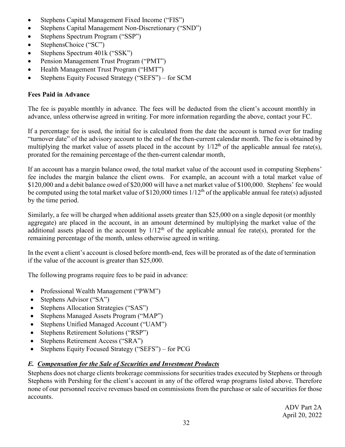- Stephens Capital Management Fixed Income ("FIS")
- Stephens Capital Management Non-Discretionary ("SND")
- Stephens Spectrum Program ("SSP")
- StephensChoice ("SC")
- Stephens Spectrum 401k ("SSK")
- Pension Management Trust Program ("PMT")
- Health Management Trust Program ("HMT")
- Stephens Equity Focused Strategy ("SEFS") for SCM

## **Fees Paid in Advance**

The fee is payable monthly in advance. The fees will be deducted from the client's account monthly in advance, unless otherwise agreed in writing. For more information regarding the above, contact your FC.

If a percentage fee is used, the initial fee is calculated from the date the account is turned over for trading "turnover date" of the advisory account to the end of the then-current calendar month. The fee is obtained by multiplying the market value of assets placed in the account by  $1/12^{th}$  of the applicable annual fee rate(s), prorated for the remaining percentage of the then-current calendar month,

If an account has a margin balance owed, the total market value of the account used in computing Stephens' fee includes the margin balance the client owns. For example, an account with a total market value of \$120,000 and a debit balance owed of \$20,000 will have a net market value of \$100,000. Stephens' fee would be computed using the total market value of \$120,000 times  $1/12<sup>th</sup>$  of the applicable annual fee rate(s) adjusted by the time period.

Similarly, a fee will be charged when additional assets greater than \$25,000 on a single deposit (or monthly aggregate) are placed in the account, in an amount determined by multiplying the market value of the additional assets placed in the account by  $1/12<sup>th</sup>$  of the applicable annual fee rate(s), prorated for the remaining percentage of the month, unless otherwise agreed in writing.

In the event a client's account is closed before month-end, fees will be prorated as of the date of termination if the value of the account is greater than \$25,000.

The following programs require fees to be paid in advance:

- Professional Wealth Management ("PWM")
- Stephens Advisor ("SA")
- Stephens Allocation Strategies ("SAS")
- Stephens Managed Assets Program ("MAP")
- Stephens Unified Managed Account ("UAM")
- Stephens Retirement Solutions ("RSP")
- Stephens Retirement Access ("SRA")
- Stephens Equity Focused Strategy ("SEFS") for PCG

# <span id="page-31-0"></span>*E. Compensation for the Sale of Securities and Investment Products*

Stephens does not charge clients brokerage commissions for securities trades executed by Stephens or through Stephens with Pershing for the client's account in any of the offered wrap programs listed above. Therefore none of our personnel receive revenues based on commissions from the purchase or sale of securities for those accounts.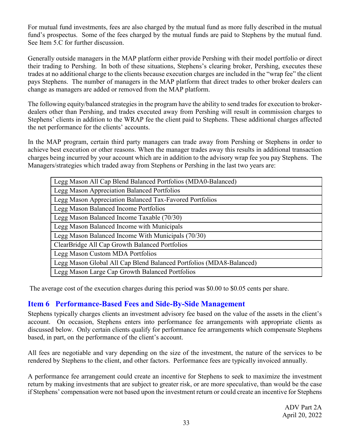For mutual fund investments, fees are also charged by the mutual fund as more fully described in the mutual fund's prospectus. Some of the fees charged by the mutual funds are paid to Stephens by the mutual fund. See Item 5.C for further discussion.

Generally outside managers in the MAP platform either provide Pershing with their model portfolio or direct their trading to Pershing. In both of these situations, Stephens's clearing broker, Pershing, executes these trades at no additional charge to the clients because execution charges are included in the "wrap fee" the client pays Stephens. The number of managers in the MAP platform that direct trades to other broker dealers can change as managers are added or removed from the MAP platform.

The following equity/balanced strategies in the program have the ability to send trades for execution to brokerdealers other than Pershing, and trades executed away from Pershing will result in commission charges to Stephens' clients in addition to the WRAP fee the client paid to Stephens. These additional charges affected the net performance for the clients' accounts.

In the MAP program, certain third party managers can trade away from Pershing or Stephens in order to achieve best execution or other reasons. When the manager trades away this results in additional transaction charges being incurred by your account which are in addition to the advisory wrap fee you pay Stephens. The Managers/strategies which traded away from Stephens or Pershing in the last two years are:

| Legg Mason All Cap Blend Balanced Portfolios (MDA0-Balanced)        |
|---------------------------------------------------------------------|
| Legg Mason Appreciation Balanced Portfolios                         |
| Legg Mason Appreciation Balanced Tax-Favored Portfolios             |
| Legg Mason Balanced Income Portfolios                               |
| Legg Mason Balanced Income Taxable (70/30)                          |
| Legg Mason Balanced Income with Municipals                          |
| Legg Mason Balanced Income With Municipals (70/30)                  |
| ClearBridge All Cap Growth Balanced Portfolios                      |
| Legg Mason Custom MDA Portfolios                                    |
| Legg Mason Global All Cap Blend Balanced Portfolios (MDA8-Balanced) |
| Legg Mason Large Cap Growth Balanced Portfolios                     |

The average cost of the execution charges during this period was \$0.00 to \$0.05 cents per share.

# <span id="page-32-0"></span>**Item 6 Performance-Based Fees and Side-By-Side Management**

Stephens typically charges clients an investment advisory fee based on the value of the assets in the client's account. On occasion, Stephens enters into performance fee arrangements with appropriate clients as discussed below. Only certain clients qualify for performance fee arrangements which compensate Stephens based, in part, on the performance of the client's account.

All fees are negotiable and vary depending on the size of the investment, the nature of the services to be rendered by Stephens to the client, and other factors. Performance fees are typically invoiced annually.

A performance fee arrangement could create an incentive for Stephens to seek to maximize the investment return by making investments that are subject to greater risk, or are more speculative, than would be the case if Stephens' compensation were not based upon the investment return or could create an incentive for Stephens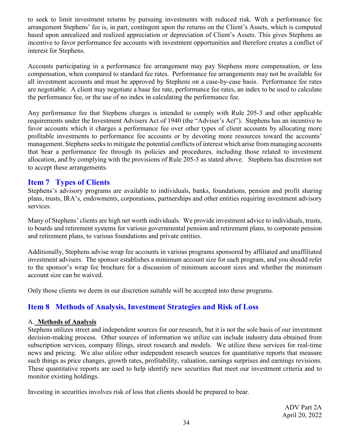to seek to limit investment returns by pursuing investments with reduced risk. With a performance fee arrangement Stephens' fee is, in part, contingent upon the returns on the Client's Assets, which is computed based upon unrealized and realized appreciation or depreciation of Client's Assets. This gives Stephens an incentive to favor performance fee accounts with investment opportunities and therefore creates a conflict of interest for Stephens.

Accounts participating in a performance fee arrangement may pay Stephens more compensation, or less compensation, when compared to standard fee rates. Performance fee arrangements may not be available for all investment accounts and must be approved by Stephens on a case-by-case basis. Performance fee rates are negotiable. A client may negotiate a base fee rate, performance fee rates, an index to be used to calculate the performance fee, or the use of no index in calculating the performance fee.

Any performance fee that Stephens charges is intended to comply with Rule 205-3 and other applicable requirements under the Investment Advisers Act of 1940 (the "Adviser's Act"). Stephens has an incentive to favor accounts which it charges a performance fee over other types of client accounts by allocating more profitable investments to performance fee accounts or by devoting more resources toward the accounts' management. Stephens seeks to mitigate the potential conflicts of interest which arise from managing accounts that bear a performance fee through its policies and procedures, including those related to investment allocation, and by complying with the provisions of Rule 205-3 as stated above. Stephens has discretion not to accept these arrangements.

# <span id="page-33-0"></span>**Item 7 Types of Clients**

Stephens's advisory programs are available to individuals, banks, foundations, pension and profit sharing plans, trusts, IRA's, endowments, corporations, partnerships and other entities requiring investment advisory services.

Many of Stephens' clients are high net worth individuals. We provide investment advice to individuals, trusts, to boards and retirement systems for various governmental pension and retirement plans, to corporate pension and retirement plans, to various foundations and private entities.

Additionally, Stephens advise wrap fee accounts in various programs sponsored by affiliated and unaffiliated investment advisers. The sponsor establishes a minimum account size for each program, and you should refer to the sponsor's wrap fee brochure for a discussion of minimum account sizes and whether the minimum account size can be waived.

Only those clients we deem in our discretion suitable will be accepted into these programs.

# <span id="page-33-1"></span>**Item 8 Methods of Analysis, Investment Strategies and Risk of Loss**

## <span id="page-33-2"></span>A. **Methods of Analysis**

Stephens utilizes street and independent sources for our research, but it is not the sole basis of our investment decision-making process. Other sources of information we utilize can include industry data obtained from subscription services, company filings, street research and models. We utilize these services for real-time news and pricing. We also utilize other independent research sources for quantitative reports that measure such things as price changes, growth rates, profitability, valuation, earnings surprises and earnings revisions. These quantitative reports are used to help identify new securities that meet our investment criteria and to monitor existing holdings.

Investing in securities involves risk of loss that clients should be prepared to bear.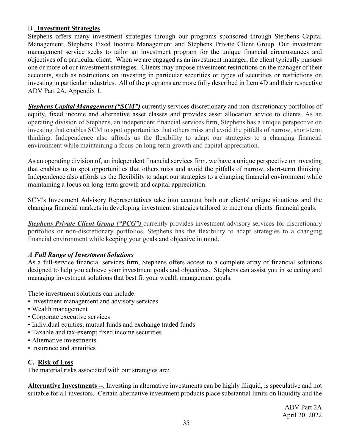## <span id="page-34-0"></span>B. **Investment Strategies**

Stephens offers many investment strategies through our programs sponsored through Stephens Capital Management, Stephens Fixed Income Management and Stephens Private Client Group. Our investment management service seeks to tailor an investment program for the unique financial circumstances and objectives of a particular client. When we are engaged as an investment manager, the client typically pursues one or more of our investment strategies. Clients may impose investment restrictions on the manager of their accounts, such as restrictions on investing in particular securities or types of securities or restrictions on investing in particular industries. All of the programs are more fully described in Item 4D and their respective ADV Part 2A, Appendix 1.

*Stephens Capital Management ("SCM")* currently services discretionary and non-discretionary portfolios of equity, fixed income and alternative asset classes and provides asset allocation advice to clients. As an operating division of Stephens, an independent financial services firm, Stephens has a unique perspective on investing that enables SCM to spot opportunities that others miss and avoid the pitfalls of narrow, short-term thinking. Independence also affords us the flexibility to adapt our strategies to a changing financial environment while maintaining a focus on long-term growth and capital appreciation.

As an operating division of, an independent financial services firm, we have a unique perspective on investing that enables us to spot opportunities that others miss and avoid the pitfalls of narrow, short-term thinking. Independence also affords us the flexibility to adapt our strategies to a changing financial environment while maintaining a focus on long-term growth and capital appreciation.

SCM's Investment Advisory Representatives take into account both our clients' unique situations and the changing financial markets in developing investment strategies tailored to meet our clients' financial goals.

**Stephens Private Client Group ("PCG")** currently provides investment advisory services for discretionary portfolios or non-discretionary portfolios. Stephens has the flexibility to adapt strategies to a changing financial environment while keeping your goals and objective in mind.

## *A Full Range of Investment Solutions*

As a full-service financial services firm, Stephens offers access to a complete array of financial solutions designed to help you achieve your investment goals and objectives. Stephens can assist you in selecting and managing investment solutions that best fit your wealth management goals.

These investment solutions can include:

- Investment management and advisory services
- Wealth management
- Corporate executive services
- Individual equities, mutual funds and exchange traded funds
- Taxable and tax-exempt fixed income securities
- Alternative investments
- Insurance and annuities

## <span id="page-34-1"></span>**C. Risk of Loss**

The material risks associated with our strategies are:

**Alternative Investments --.** Investing in alternative investments can be highly illiquid, is speculative and not suitable for all investors. Certain alternative investment products place substantial limits on liquidity and the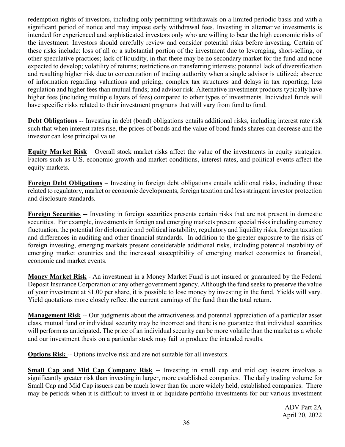redemption rights of investors, including only permitting withdrawals on a limited periodic basis and with a significant period of notice and may impose early withdrawal fees. Investing in alternative investments is intended for experienced and sophisticated investors only who are willing to bear the high economic risks of the investment. Investors should carefully review and consider potential risks before investing. Certain of these risks include: loss of all or a substantial portion of the investment due to leveraging, short-selling, or other speculative practices; lack of liquidity, in that there may be no secondary market for the fund and none expected to develop; volatility of returns; restrictions on transferring interests; potential lack of diversification and resulting higher risk due to concentration of trading authority when a single advisor is utilized; absence of information regarding valuations and pricing; complex tax structures and delays in tax reporting; less regulation and higher fees than mutual funds; and advisor risk. Alternative investment products typically have higher fees (including multiple layers of fees) compared to other types of investments. Individual funds will have specific risks related to their investment programs that will vary from fund to fund.

**Debt Obligations** -- Investing in debt (bond) obligations entails additional risks, including interest rate risk such that when interest rates rise, the prices of bonds and the value of bond funds shares can decrease and the investor can lose principal value.

**Equity Market Risk** – Overall stock market risks affect the value of the investments in equity strategies. Factors such as U.S. economic growth and market conditions, interest rates, and political events affect the equity markets.

**Foreign Debt Obligations** – Investing in foreign debt obligations entails additional risks, including those related to regulatory, market or economic developments, foreign taxation and less stringent investor protection and disclosure standards.

**Foreign Securities --** Investing in foreign securities presents certain risks that are not present in domestic securities. For example, investments in foreign and emerging markets present special risks including currency fluctuation, the potential for diplomatic and political instability, regulatory and liquidity risks, foreign taxation and differences in auditing and other financial standards. In addition to the greater exposure to the risks of foreign investing, emerging markets present considerable additional risks, including potential instability of emerging market countries and the increased susceptibility of emerging market economies to financial, economic and market events.

**Money Market Risk** - An investment in a Money Market Fund is not insured or guaranteed by the Federal Deposit Insurance Corporation or any other government agency. Although the fund seeks to preserve the value of your investment at \$1.00 per share, it is possible to lose money by investing in the fund. Yields will vary. Yield quotations more closely reflect the current earnings of the fund than the total return.

**Management Risk** -- Our judgments about the attractiveness and potential appreciation of a particular asset class, mutual fund or individual security may be incorrect and there is no guarantee that individual securities will perform as anticipated. The price of an individual security can be more volatile than the market as a whole and our investment thesis on a particular stock may fail to produce the intended results.

**Options Risk --** Options involve risk and are not suitable for all investors.

**Small Cap and Mid Cap Company Risk** -- Investing in small cap and mid cap issuers involves a significantly greater risk than investing in larger, more established companies. The daily trading volume for Small Cap and Mid Cap issuers can be much lower than for more widely held, established companies. There may be periods when it is difficult to invest in or liquidate portfolio investments for our various investment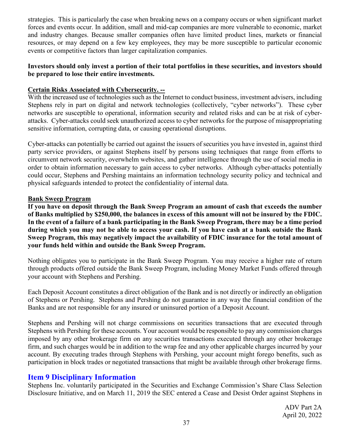strategies. This is particularly the case when breaking news on a company occurs or when significant market forces and events occur. In addition, small and mid-cap companies are more vulnerable to economic, market and industry changes. Because smaller companies often have limited product lines, markets or financial resources, or may depend on a few key employees, they may be more susceptible to particular economic events or competitive factors than larger capitalization companies.

## **Investors should only invest a portion of their total portfolios in these securities, and investors should be prepared to lose their entire investments.**

## **Certain Risks Associated with Cybersecurity. --**

With the increased use of technologies such as the Internet to conduct business, investment advisers, including Stephens rely in part on digital and network technologies (collectively, "cyber networks"). These cyber networks are susceptible to operational, information security and related risks and can be at risk of cyberattacks. Cyber-attacks could seek unauthorized access to cyber networks for the purpose of misappropriating sensitive information, corrupting data, or causing operational disruptions.

Cyber-attacks can potentially be carried out against the issuers of securities you have invested in, against third party service providers, or against Stephens itself by persons using techniques that range from efforts to circumvent network security, overwhelm websites, and gather intelligence through the use of social media in order to obtain information necessary to gain access to cyber networks. Although cyber-attacks potentially could occur, Stephens and Pershing maintains an information technology security policy and technical and physical safeguards intended to protect the confidentiality of internal data.

## **Bank Sweep Program**

**If you have on deposit through the Bank Sweep Program an amount of cash that exceeds the number of Banks multiplied by \$250,000, the balances in excess of this amount will not be insured by the FDIC. In the event of a failure of a bank participating in the Bank Sweep Program, there may be a time period during which you may not be able to access your cash. If you have cash at a bank outside the Bank Sweep Program, this may negatively impact the availability of FDIC insurance for the total amount of your funds held within and outside the Bank Sweep Program.** 

Nothing obligates you to participate in the Bank Sweep Program. You may receive a higher rate of return through products offered outside the Bank Sweep Program, including Money Market Funds offered through your account with Stephens and Pershing.

Each Deposit Account constitutes a direct obligation of the Bank and is not directly or indirectly an obligation of Stephens or Pershing. Stephens and Pershing do not guarantee in any way the financial condition of the Banks and are not responsible for any insured or uninsured portion of a Deposit Account.

Stephens and Pershing will not charge commissions on securities transactions that are executed through Stephens with Pershing for these accounts. Your account would be responsible to pay any commission charges imposed by any other brokerage firm on any securities transactions executed through any other brokerage firm, and such charges would be in addition to the wrap fee and any other applicable charges incurred by your account. By executing trades through Stephens with Pershing, your account might forego benefits, such as participation in block trades or negotiated transactions that might be available through other brokerage firms.

# <span id="page-36-0"></span>**Item 9 Disciplinary Information**

Stephens Inc. voluntarily participated in the Securities and Exchange Commission's Share Class Selection Disclosure Initiative, and on March 11, 2019 the SEC entered a Cease and Desist Order against Stephens in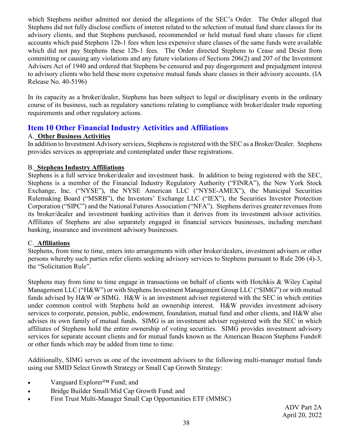which Stephens neither admitted nor denied the allegations of the SEC's Order. The Order alleged that Stephens did not fully disclose conflicts of interest related to the selection of mutual fund share classes for its advisory clients, and that Stephens purchased, recommended or held mutual fund share classes for client accounts which paid Stephens 12b-1 fees when less expensive share classes of the same funds were available which did not pay Stephens these 12b-1 fees. The Order directed Stephens to Cease and Desist from committing or causing any violations and any future violations of Sections 206(2) and 207 of the Investment Advisers Act of 1940 and ordered that Stephens be censured and pay disgorgement and prejudgment interest to advisory clients who held these more expensive mutual funds share classes in their advisory accounts. (IA Release No. 40-5196)

In its capacity as a broker/dealer, Stephens has been subject to legal or disciplinary events in the ordinary course of its business, such as regulatory sanctions relating to compliance with broker/dealer trade reporting requirements and other regulatory actions.

# <span id="page-37-0"></span>**Item 10 Other Financial Industry Activities and Affiliations**

# <span id="page-37-1"></span>A. **Other Business Activities**

In addition to Investment Advisory services, Stephens is registered with the SEC as a Broker/Dealer. Stephens provides services as appropriate and contemplated under these registrations.

# <span id="page-37-2"></span>B. **Stephens Industry Affiliations**

Stephens is a full service broker/dealer and investment bank. In addition to being registered with the SEC, Stephens is a member of the Financial Industry Regulatory Authority ("FINRA"), the New York Stock Exchange, Inc. ("NYSE"), the NYSE American LLC ("NYSE-AMEX"), the Municipal Securities Rulemaking Board ("MSRB"), the Investors' Exchange LLC ("IEX"), the Securities Investor Protection Corporation ("SIPC") and the National Futures Association ("NFA"). Stephens derives greater revenues from its broker/dealer and investment banking activities than it derives from its investment advisor activities. Affiliates of Stephens are also separately engaged in financial services businesses, including merchant banking, insurance and investment advisory businesses.

# <span id="page-37-3"></span>C. **Affiliations**

Stephens, from time to time, enters into arrangements with other broker/dealers, investment advisers or other persons whereby such parties refer clients seeking advisory services to Stephens pursuant to Rule 206 (4)-3, the "Solicitation Rule".

Stephens may from time to time engage in transactions on behalf of clients with Hotchkis & Wiley Capital Management LLC ("H&W") or with Stephens Investment Management Group LLC ("SIMG") or with mutual funds advised by H&W or SIMG. H&W is an investment adviser registered with the SEC in which entities under common control with Stephens hold an ownership interest. H&W provides investment advisory services to corporate, pension, public, endowment, foundation, mutual fund and other clients, and H&W also advises its own family of mutual funds. SIMG is an investment adviser registered with the SEC in which affiliates of Stephens hold the entire ownership of voting securities. SIMG provides investment advisory services for separate account clients and for mutual funds known as the American Beacon Stephens Funds® or other funds which may be added from time to time.

Additionally, SIMG serves as one of the investment advisors to the following multi-manager mutual funds using our SMID Select Growth Strategy or Small Cap Growth Strategy:

- Vanguard Explorer<sup>TM</sup> Fund; and
- Bridge Builder Small/Mid Cap Growth Fund; and
- First Trust Multi-Manager Small Cap Opportunities ETF (MMSC)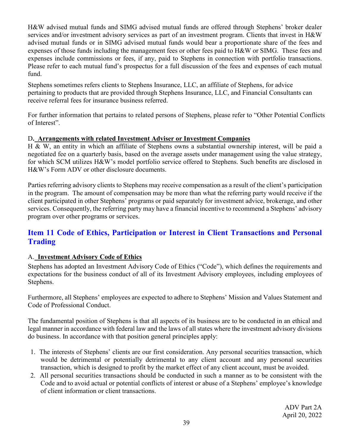H&W advised mutual funds and SIMG advised mutual funds are offered through Stephens' broker dealer services and/or investment advisory services as part of an investment program. Clients that invest in H&W advised mutual funds or in SIMG advised mutual funds would bear a proportionate share of the fees and expenses of those funds including the management fees or other fees paid to H&W or SIMG. These fees and expenses include commissions or fees, if any, paid to Stephens in connection with portfolio transactions. Please refer to each mutual fund's prospectus for a full discussion of the fees and expenses of each mutual fund.

Stephens sometimes refers clients to Stephens Insurance, LLC, an affiliate of Stephens, for advice pertaining to products that are provided through Stephens Insurance, LLC, and Financial Consultants can receive referral fees for insurance business referred.

For further information that pertains to related persons of Stephens, please refer to "Other Potential Conflicts of Interest".

## <span id="page-38-0"></span>D**. Arrangements with related Investment Adviser or Investment Companies**

H & W, an entity in which an affiliate of Stephens owns a substantial ownership interest, will be paid a negotiated fee on a quarterly basis, based on the average assets under management using the value strategy, for which SCM utilizes H&W's model portfolio service offered to Stephens. Such benefits are disclosed in H&W's Form ADV or other disclosure documents.

Parties referring advisory clients to Stephens may receive compensation as a result of the client's participation in the program. The amount of compensation may be more than what the referring party would receive if the client participated in other Stephens' programs or paid separately for investment advice, brokerage, and other services. Consequently, the referring party may have a financial incentive to recommend a Stephens' advisory program over other programs or services.

# <span id="page-38-1"></span>**Item 11 Code of Ethics, Participation or Interest in Client Transactions and Personal Trading**

# <span id="page-38-2"></span>A. **Investment Advisory Code of Ethics**

Stephens has adopted an Investment Advisory Code of Ethics ("Code"), which defines the requirements and expectations for the business conduct of all of its Investment Advisory employees, including employees of Stephens.

Furthermore, all Stephens' employees are expected to adhere to Stephens' Mission and Values Statement and Code of Professional Conduct.

The fundamental position of Stephens is that all aspects of its business are to be conducted in an ethical and legal manner in accordance with federal law and the laws of all states where the investment advisory divisions do business. In accordance with that position general principles apply:

- 1. The interests of Stephens' clients are our first consideration. Any personal securities transaction, which would be detrimental or potentially detrimental to any client account and any personal securities transaction, which is designed to profit by the market effect of any client account, must be avoided.
- 2. All personal securities transactions should be conducted in such a manner as to be consistent with the Code and to avoid actual or potential conflicts of interest or abuse of a Stephens' employee's knowledge of client information or client transactions.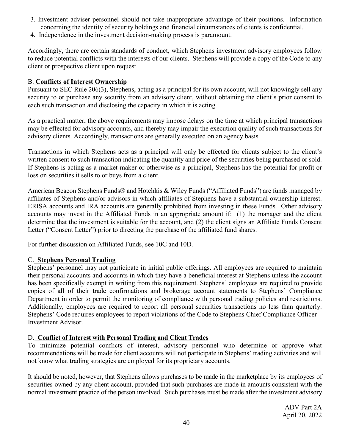- 3. Investment adviser personnel should not take inappropriate advantage of their positions. Information concerning the identity of security holdings and financial circumstances of clients is confidential.
- 4. Independence in the investment decision-making process is paramount.

Accordingly, there are certain standards of conduct, which Stephens investment advisory employees follow to reduce potential conflicts with the interests of our clients. Stephens will provide a copy of the Code to any client or prospective client upon request.

## <span id="page-39-0"></span>B. **Conflicts of Interest Ownership**

Pursuant to SEC Rule 206(3), Stephens, acting as a principal for its own account, will not knowingly sell any security to or purchase any security from an advisory client, without obtaining the client's prior consent to each such transaction and disclosing the capacity in which it is acting.

As a practical matter, the above requirements may impose delays on the time at which principal transactions may be effected for advisory accounts, and thereby may impair the execution quality of such transactions for advisory clients. Accordingly, transactions are generally executed on an agency basis.

Transactions in which Stephens acts as a principal will only be effected for clients subject to the client's written consent to such transaction indicating the quantity and price of the securities being purchased or sold. If Stephens is acting as a market-maker or otherwise as a principal, Stephens has the potential for profit or loss on securities it sells to or buys from a client.

American Beacon Stephens Funds® and Hotchkis & Wiley Funds ("Affiliated Funds") are funds managed by affiliates of Stephens and/or advisors in which affiliates of Stephens have a substantial ownership interest. ERISA accounts and IRA accounts are generally prohibited from investing in these Funds. Other advisory accounts may invest in the Affiliated Funds in an appropriate amount if: (1) the manager and the client determine that the investment is suitable for the account, and (2) the client signs an Affiliate Funds Consent Letter ("Consent Letter") prior to directing the purchase of the affiliated fund shares.

For further discussion on Affiliated Funds, see 10C and 10D.

## <span id="page-39-1"></span>C. **Stephens Personal Trading**

Stephens' personnel may not participate in initial public offerings. All employees are required to maintain their personal accounts and accounts in which they have a beneficial interest at Stephens unless the account has been specifically exempt in writing from this requirement. Stephens' employees are required to provide copies of all of their trade confirmations and brokerage account statements to Stephens' Compliance Department in order to permit the monitoring of compliance with personal trading policies and restrictions. Additionally, employees are required to report all personal securities transactions no less than quarterly. Stephens' Code requires employees to report violations of the Code to Stephens Chief Compliance Officer – Investment Advisor.

## <span id="page-39-2"></span>D. **Conflict of Interest with Personal Trading and Client Trades**

To minimize potential conflicts of interest, advisory personnel who determine or approve what recommendations will be made for client accounts will not participate in Stephens' trading activities and will not know what trading strategies are employed for its proprietary accounts.

It should be noted, however, that Stephens allows purchases to be made in the marketplace by its employees of securities owned by any client account, provided that such purchases are made in amounts consistent with the normal investment practice of the person involved. Such purchases must be made after the investment advisory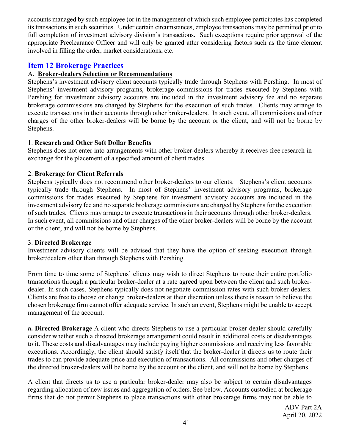accounts managed by such employee (or in the management of which such employee participates has completed its transactions in such securities. Under certain circumstances, employee transactions may be permitted prior to full completion of investment advisory division's transactions. Such exceptions require prior approval of the appropriate Preclearance Officer and will only be granted after considering factors such as the time element involved in filling the order, market considerations, etc.

# <span id="page-40-0"></span>**Item 12 Brokerage Practices**

## <span id="page-40-1"></span>A. **Broker-dealers Selection or Recommendations**

Stephens's investment advisory client accounts typically trade through Stephens with Pershing. In most of Stephens' investment advisory programs, brokerage commissions for trades executed by Stephens with Pershing for investment advisory accounts are included in the investment advisory fee and no separate brokerage commissions are charged by Stephens for the execution of such trades. Clients may arrange to execute transactions in their accounts through other broker-dealers. In such event, all commissions and other charges of the other broker-dealers will be borne by the account or the client, and will not be borne by Stephens.

#### 1. **Research and Other Soft Dollar Benefits**

Stephens does not enter into arrangements with other broker-dealers whereby it receives free research in exchange for the placement of a specified amount of client trades.

#### 2. **Brokerage for Client Referrals**

Stephens typically does not recommend other broker-dealers to our clients. Stephens's client accounts typically trade through Stephens. In most of Stephens' investment advisory programs, brokerage commissions for trades executed by Stephens for investment advisory accounts are included in the investment advisory fee and no separate brokerage commissions are charged by Stephens for the execution of such trades. Clients may arrange to execute transactions in their accounts through other broker-dealers. In such event, all commissions and other charges of the other broker-dealers will be borne by the account or the client, and will not be borne by Stephens.

#### 3. **Directed Brokerage**

Investment advisory clients will be advised that they have the option of seeking execution through broker/dealers other than through Stephens with Pershing.

From time to time some of Stephens' clients may wish to direct Stephens to route their entire portfolio transactions through a particular broker-dealer at a rate agreed upon between the client and such brokerdealer. In such cases, Stephens typically does not negotiate commission rates with such broker-dealers. Clients are free to choose or change broker-dealers at their discretion unless there is reason to believe the chosen brokerage firm cannot offer adequate service. In such an event, Stephens might be unable to accept management of the account.

**a. Directed Brokerage** A client who directs Stephens to use a particular broker-dealer should carefully consider whether such a directed brokerage arrangement could result in additional costs or disadvantages to it. These costs and disadvantages may include paying higher commissions and receiving less favorable executions. Accordingly, the client should satisfy itself that the broker-dealer it directs us to route their trades to can provide adequate price and execution of transactions. All commissions and other charges of the directed broker-dealers will be borne by the account or the client, and will not be borne by Stephens.

A client that directs us to use a particular broker-dealer may also be subject to certain disadvantages regarding allocation of new issues and aggregation of orders. See below. Accounts custodied at brokerage firms that do not permit Stephens to place transactions with other brokerage firms may not be able to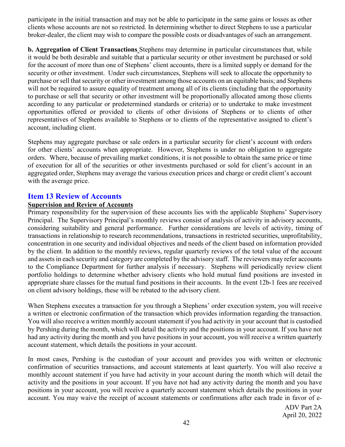participate in the initial transaction and may not be able to participate in the same gains or losses as other clients whose accounts are not so restricted. In determining whether to direct Stephens to use a particular broker-dealer, the client may wish to compare the possible costs or disadvantages of such an arrangement.

**b. Aggregation of Client Transactions** Stephens may determine in particular circumstances that, while it would be both desirable and suitable that a particular security or other investment be purchased or sold for the account of more than one of Stephens' client accounts, there is a limited supply or demand for the security or other investment. Under such circumstances, Stephens will seek to allocate the opportunity to purchase or sell that security or other investment among those accounts on an equitable basis; and Stephens will not be required to assure equality of treatment among all of its clients (including that the opportunity to purchase or sell that security or other investment will be proportionally allocated among those clients according to any particular or predetermined standards or criteria) or to undertake to make investment opportunities offered or provided to clients of other divisions of Stephens or to clients of other representatives of Stephens available to Stephens or to clients of the representative assigned to client's account, including client.

Stephens may aggregate purchase or sale orders in a particular security for client's account with orders for other clients' accounts when appropriate. However, Stephens is under no obligation to aggregate orders. Where, because of prevailing market conditions, it is not possible to obtain the same price or time of execution for all of the securities or other investments purchased or sold for client's account in an aggregated order, Stephens may average the various execution prices and charge or credit client's account with the average price.

## <span id="page-41-0"></span>**Item 13 Review of Accounts**

#### **Supervision and Review of Accounts**

Primary responsibility for the supervision of these accounts lies with the applicable Stephens' Supervisory Principal. The Supervisory Principal's monthly reviews consist of analysis of activity in advisory accounts, considering suitability and general performance. Further considerations are levels of activity, timing of transactions in relationship to research recommendations, transactions in restricted securities, unprofitability, concentration in one security and individual objectives and needs of the client based on information provided by the client. In addition to the monthly reviews, regular quarterly reviews of the total value of the account and assets in each security and category are completed by the advisory staff. The reviewers may refer accounts to the Compliance Department for further analysis if necessary. Stephens will periodically review client portfolio holdings to determine whether advisory clients who hold mutual fund positions are invested in appropriate share classes for the mutual fund positions in their accounts. In the event 12b-1 fees are received on client advisory holdings, these will be rebated to the advisory client.

When Stephens executes a transaction for you through a Stephens' order execution system, you will receive a written or electronic confirmation of the transaction which provides information regarding the transaction. You will also receive a written monthly account statement if you had activity in your account that is custodied by Pershing during the month, which will detail the activity and the positions in your account. If you have not had any activity during the month and you have positions in your account, you will receive a written quarterly account statement, which details the positions in your account.

In most cases, Pershing is the custodian of your account and provides you with written or electronic confirmation of securities transactions, and account statements at least quarterly. You will also receive a monthly account statement if you have had activity in your account during the month which will detail the activity and the positions in your account. If you have not had any activity during the month and you have positions in your account, you will receive a quarterly account statement which details the positions in your account. You may waive the receipt of account statements or confirmations after each trade in favor of e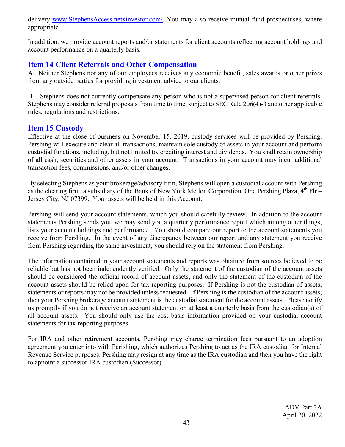delivery [www.StephensAccess.netxinvestor.com/.](http://www.stephensaccess.netxinvestor.com/) You may also receive mutual fund prospectuses, where appropriate.

In addition, we provide account reports and/or statements for client accounts reflecting account holdings and account performance on a quarterly basis.

# <span id="page-42-0"></span>**Item 14 Client Referrals and Other Compensation**

A. Neither Stephens nor any of our employees receives any economic benefit, sales awards or other prizes from any outside parties for providing investment advice to our clients.

B. Stephens does not currently compensate any person who is not a supervised person for client referrals. Stephens may consider referral proposals from time to time, subject to SEC Rule 206(4)-3 and other applicable rules, regulations and restrictions.

# <span id="page-42-1"></span>**Item 15 Custody**

Effective at the close of business on November 15, 2019, custody services will be provided by Pershing. Pershing will execute and clear all transactions, maintain sole custody of assets in your account and perform custodial functions, including, but not limited to, crediting interest and dividends. You shall retain ownership of all cash, securities and other assets in your account. Transactions in your account may incur additional transaction fees, commissions, and/or other changes.

By selecting Stephens as your brokerage/advisory firm, Stephens will open a custodial account with Pershing as the clearing firm, a subsidiary of the Bank of New York Mellon Corporation, One Pershing Plaza, 4<sup>th</sup> Flr – Jersey City, NJ 07399. Your assets will be held in this Account.

Pershing will send your account statements, which you should carefully review. In addition to the account statements Pershing sends you, we may send you a quarterly performance report which among other things, lists your account holdings and performance. You should compare our report to the account statements you receive from Pershing. In the event of any discrepancy between our report and any statement you receive from Pershing regarding the same investment, you should rely on the statement from Pershing.

The information contained in your account statements and reports was obtained from sources believed to be reliable but has not been independently verified. Only the statement of the custodian of the account assets should be considered the official record of account assets, and only the statement of the custodian of the account assets should be relied upon for tax reporting purposes. If Pershing is not the custodian of assets, statements or reports may not be provided unless requested. If Pershing is the custodian of the account assets, then your Pershing brokerage account statement is the custodial statement for the account assets. Please notify us promptly if you do not receive an account statement on at least a quarterly basis from the custodian(s) of all account assets. You should only use the cost basis information provided on your custodial account statements for tax reporting purposes.

For IRA and other retirement accounts, Pershing may charge termination fees pursuant to an adoption agreement you enter into with Perishing, which authorizes Pershing to act as the IRA custodian for Internal Revenue Service purposes. Pershing may resign at any time as the IRA custodian and then you have the right to appoint a successor IRA custodian (Successor).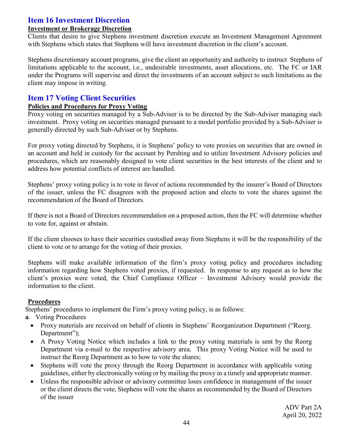# <span id="page-43-0"></span>**Item 16 Investment Discretion**

#### <span id="page-43-1"></span>**Investment or Brokerage Discretion**

Clients that desire to give Stephens investment discretion execute an Investment Management Agreement with Stephens which states that Stephens will have investment discretion in the client's account.

Stephens discretionary account programs, give the client an opportunity and authority to instruct Stephens of limitations applicable to the account, i.e., undesirable investments, asset allocations, etc. The FC or IAR under the Programs will supervise and direct the investments of an account subject to such limitations as the client may impose in writing.

# <span id="page-43-2"></span>**Item 17 Voting Client Securities**

#### <span id="page-43-3"></span>**Policies and Procedures for Proxy Voting**

Proxy voting on securities managed by a Sub-Adviser is to be directed by the Sub-Adviser managing such investment. Proxy voting on securities managed pursuant to a model portfolio provided by a Sub-Adviser is generally directed by such Sub-Adviser or by Stephens.

For proxy voting directed by Stephens, it is Stephens' policy to vote proxies on securities that are owned in an account and held in custody for the account by Pershing and to utilize Investment Advisory policies and procedures, which are reasonably designed to vote client securities in the best interests of the client and to address how potential conflicts of interest are handled.

Stephens' proxy voting policy is to vote in favor of actions recommended by the insurer's Board of Directors of the issuer, unless the FC disagrees with the proposed action and elects to vote the shares against the recommendation of the Board of Directors.

If there is not a Board of Directors recommendation on a proposed action, then the FC will determine whether to vote for, against or abstain.

If the client chooses to have their securities custodied away from Stephens it will be the responsibility of the client to vote or to arrange for the voting of their proxies.

Stephens will make available information of the firm's proxy voting policy and procedures including information regarding how Stephens voted proxies, if requested. In response to any request as to how the client's proxies were voted, the Chief Compliance Officer – Investment Advisory would provide the information to the client.

## **Procedures**

Stephens' procedures to implement the Firm's proxy voting policy, is as follows:

- **a**. Voting Procedures
	- Proxy materials are received on behalf of clients in Stephens' Reorganization Department ("Reorg. Department");
	- A Proxy Voting Notice which includes a link to the proxy voting materials is sent by the Reorg Department via e-mail to the respective advisory area. This proxy Voting Notice will be used to instruct the Reorg Department as to how to vote the shares;
	- Stephens will vote the proxy through the Reorg Department in accordance with applicable voting guidelines, either by electronically voting or by mailing the proxy in a timely and appropriate manner.
	- Unless the responsible advisor or advisory committee loses confidence in management of the issuer or the client directs the vote, Stephens will vote the shares as recommended by the Board of Directors of the issuer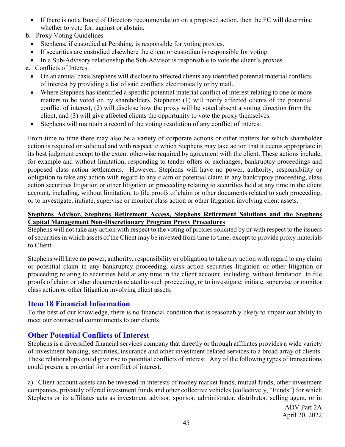- If there is not a Board of Directors recommendation on a proposed action, then the FC will determine whether to vote for, against or abstain.
- **b.** Proxy Voting Guidelines
	- Stephens, if custodied at Pershing, is responsible for voting proxies.
	- If securities are custodied elsewhere the client or custodian is responsible for voting.
	- In a Sub-Advisory relationship the Sub-Advisor is responsible to vote the client's proxies.

**c.** Conflicts of Interest

- On an annual basis Stephens will disclose to affected clients any identified potential material conflicts of interest by providing a list of said conflicts electronically or by mail.
- Where Stephens has identified a specific potential material conflict of interest relating to one or more matters to be voted on by shareholders, Stephens: (1) will notify affected clients of the potential conflict of interest, (2) will disclose how the proxy will be voted absent a voting direction from the client, and (3) will give affected clients the opportunity to vote the proxy themselves.
- Stephens will maintain a record of the voting resolution of any conflict of interest.

From time to time there may also be a variety of corporate actions or other matters for which shareholder action is required or solicited and with respect to which Stephens may take action that it deems appropriate in its best judgment except to the extent otherwise required by agreement with the client. These actions include, for example and without limitation, responding to tender offers or exchanges, bankruptcy proceedings and proposed class action settlements. However, Stephens will have no power, authority, responsibility or obligation to take any action with regard to any claim or potential claim in any bankruptcy proceeding, class action securities litigation or other litigation or proceeding relating to securities held at any time in the client account, including, without limitation, to file proofs of claim or other documents related to such proceeding, or to investigate, initiate, supervise or monitor class action or other litigation involving client assets.

#### **Stephens Advisor, Stephens Retirement Access, Stephens Retirement Solutions and the Stephens Capital Management Non-Discretionary Program Proxy Procedures**

Stephens will not take any action with respect to the voting of proxies solicited by or with respect to the issuers of securities in which assets of the Client may be invested from time to time, except to provide proxy materials to Client.

Stephens will have no power, authority, responsibility or obligation to take any action with regard to any claim or potential claim in any bankruptcy proceeding, class action securities litigation or other litigation or proceeding relating to securities held at any time in the client account, including, without limitation, to file proofs of claim or other documents related to such proceeding, or to investigate, initiate, supervise or monitor class action or other litigation involving client assets.

# <span id="page-44-0"></span>**Item 18 Financial Information**

To the best of our knowledge, there is no financial condition that is reasonably likely to impair our ability to meet our contractual commitments to our clients.

# <span id="page-44-1"></span>**Other Potential Conflicts of Interest**

Stephens is a diversified financial services company that directly or through affiliates provides a wide variety of investment banking, securities, insurance and other investment-related services to a broad array of clients. These relationships could give rise to potential conflicts of interest. Any of the following types of transactions could present a potential for a conflict of interest.

a) Client account assets can be invested in interests of money market funds, mutual funds, other investment companies, privately offered investment funds and other collective vehicles (collectively, "Funds") for which Stephens or its affiliates acts as investment advisor, sponsor, administrator, distributor, selling agent, or in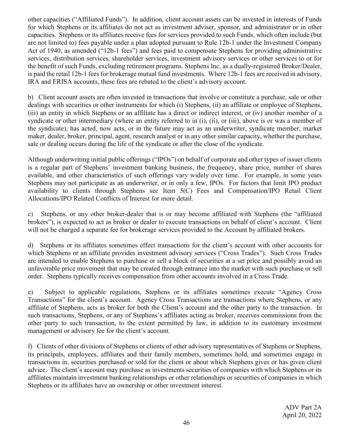other capacities ("Affiliated Funds"). In addition, client account assets can be invested in interests of Funds for which Stephens or its affiliates do not act as investment adviser, sponsor, and administrator or in other capacities. Stephens or its affiliates receive fees for services provided to such Funds, which often include (but are not limited to) fees payable under a plan adopted pursuant to Rule 12b-1 under the Investment Company Act of 1940, as amended ("12b-1 fees") and fees paid to compensate Stephens for providing administrative services, distribution services, shareholder services, investment advisory services or other services to or for the benefit of such Funds, excluding retirement programs. Stephens Inc. as a dually-registered Broker/Dealer, is paid the retail 12b-1 fees for brokerage mutual fund investments. Where 12b-1 fees are received in advisory, IRA and ERISA accounts, these fees are rebated to the client's advisory account.

b) Client account assets are often invested in transactions that involve or constitute a purchase, sale or other dealings with securities or other instruments for which (i) Stephens, (ii) an affiliate or employee of Stephens, (iii) an entity in which Stephens or an affiliate has a direct or indirect interest, or (iv) another member of a syndicate or other intermediary (where an entity referred to in (i), (ii), or (iii), above is or was a member of the syndicate), has acted, now acts, or in the future may act as an underwriter, syndicate member, market maker, dealer, broker, principal, agent, research analyst or in any other similar capacity, whether the purchase, sale or dealing occurs during the life of the syndicate or after the close of the syndicate.

Although underwriting initial public offerings ("IPOs") on behalf of corporate and other types of issuer clients is a regular part of Stephens' investment banking business, the frequency, share price, number of shares available, and other characteristics of such offerings vary widely over time. For example, in some years Stephens may not participate as an underwriter, or in only a few, IPOs. For factors that limit IPO product availability to clients through Stephens see Item 5(C) Fees and Compensation/IPO Retail Client Allocations/IPO Related Conflicts of Interest for more detail.

c) Stephens, or any other broker-dealer that is or may become affiliated with Stephens (the "affiliated brokers"), is expected to act as broker or dealer to execute transactions on behalf of client's account. Client will not be charged a separate fee for brokerage services provided to the Account by affiliated brokers.

d) Stephens or its affiliates sometimes effect transactions for the client's account with other accounts for which Stephens or an affiliate provides investment advisory services ("Cross Trades"). Such Cross Trades are intended to enable Stephens to purchase or sell a block of securities at a set price and possibly avoid an unfavorable price movement that may be created through entrance into the market with such purchase or sell order. Stephens typically receives compensation from other accounts involved in a Cross Trade.

e) Subject to applicable regulations, Stephens or its affiliates sometimes execute "Agency Cross Transactions" for the client's account. Agency Cross Transactions are transactions where Stephens, or any affiliate of Stephens, acts as broker for both the Client's account and the other party to the transaction. In such transactions, Stephens, or any of Stephens's affiliates acting as broker, receives commissions from the other party to such transaction, to the extent permitted by law, in addition to its customary investment management or advisory fee for the client's account.

f) Clients of other divisions of Stephens or clients of other advisory representatives of Stephens or Stephens, its principals, employees, affiliates and their family members, sometimes hold, and sometimes engage in transactions in, securities purchased or sold for the client or about which Stephens gives or has given client advice. The client's account may purchase as investments securities of companies with which Stephens or its affiliates maintain investment banking relationships or other relationships or securities of companies in which Stephens or its affiliates have an ownership or other investment interest.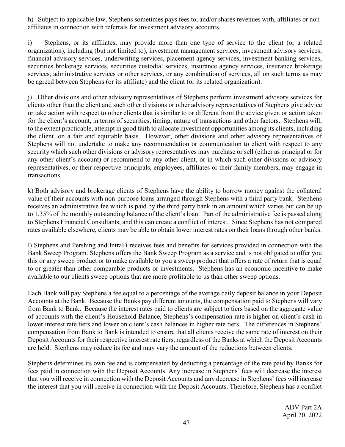h) Subject to applicable law, Stephens sometimes pays fees to, and/or shares revenues with, affiliates or nonaffiliates in connection with referrals for investment advisory accounts.

i) Stephens, or its affiliates, may provide more than one type of service to the client (or a related organization), including (but not limited to), investment management services, investment advisory services, financial advisory services, underwriting services, placement agency services, investment banking services, securities brokerage services, securities custodial services, insurance agency services, insurance brokerage services, administrative services or other services, or any combination of services, all on such terms as may be agreed between Stephens (or its affiliate) and the client (or its related organization).

j) Other divisions and other advisory representatives of Stephens perform investment advisory services for clients other than the client and such other divisions or other advisory representatives of Stephens give advice or take action with respect to other clients that is similar to or different from the advice given or action taken for the client's account, in terms of securities, timing, nature of transactions and other factors. Stephens will, to the extent practicable, attempt in good faith to allocate investment opportunities among its clients, including the client, on a fair and equitable basis. However, other divisions and other advisory representatives of Stephens will not undertake to make any recommendation or communication to client with respect to any security which such other divisions or advisory representatives may purchase or sell (either as principal or for any other client's account) or recommend to any other client, or in which such other divisions or advisory representatives, or their respective principals, employees, affiliates or their family members, may engage in transactions.

k) Both advisory and brokerage clients of Stephens have the ability to borrow money against the collateral value of their accounts with non-purpose loans arranged through Stephens with a third party bank. Stephens receives an administrative fee which is paid by the third party bank in an amount which varies but can be up to 1.35% of the monthly outstanding balance of the client's loan. Part of the administrative fee is passed along to Stephens Financial Consultants, and this can create a conflict of interest. Since Stephens has not compared rates available elsewhere, clients may be able to obtain lower interest rates on their loans through other banks.

l) Stephens and Pershing and IntraFi receives fees and benefits for services provided in connection with the Bank Sweep Program. Stephens offers the Bank Sweep Program as a service and is not obligated to offer you this or any sweep product or to make available to you a sweep product that offers a rate of return that is equal to or greater than other comparable products or investments. Stephens has an economic incentive to make available to our clients sweep options that are more profitable to us than other sweep options.

Each Bank will pay Stephens a fee equal to a percentage of the average daily deposit balance in your Deposit Accounts at the Bank. Because the Banks pay different amounts, the compensation paid to Stephens will vary from Bank to Bank. Because the interest rates paid to clients are subject to tiers based on the aggregate value of accounts with the client's Household Balance, Stephens's compensation rate is higher on client's cash in lower interest rate tiers and lower on client's cash balances in higher rate tiers. The differences in Stephens' compensation from Bank to Bank is intended to ensure that all clients receive the same rate of interest on their Deposit Accounts for their respective interest rate tiers, regardless of the Banks at which the Deposit Accounts are held. Stephens may reduce its fee and may vary the amount of the reductions between clients.

Stephens determines its own fee and is compensated by deducting a percentage of the rate paid by Banks for fees paid in connection with the Deposit Accounts. Any increase in Stephens' fees will decrease the interest that you will receive in connection with the Deposit Accounts and any decrease in Stephens' fees will increase the interest that you will receive in connection with the Deposit Accounts. Therefore, Stephens has a conflict